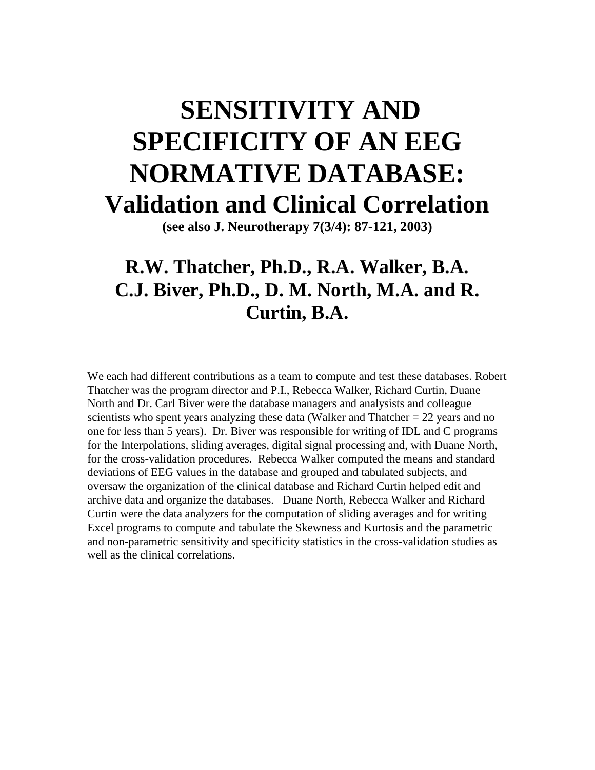# **SENSITIVITY AND SPECIFICITY OF AN EEG NORMATIVE DATABASE: Validation and Clinical Correlation**

**(see also J. Neurotherapy 7(3/4): 87-121, 2003)**

## **R.W. Thatcher, Ph.D., R.A. Walker, B.A. C.J. Biver, Ph.D., D. M. North, M.A. and R. Curtin, B.A.**

We each had different contributions as a team to compute and test these databases. Robert Thatcher was the program director and P.I., Rebecca Walker, Richard Curtin, Duane North and Dr. Carl Biver were the database managers and analysists and colleague scientists who spent years analyzing these data (Walker and Thatcher  $= 22$  years and no one for less than 5 years). Dr. Biver was responsible for writing of IDL and C programs for the Interpolations, sliding averages, digital signal processing and, with Duane North, for the cross-validation procedures. Rebecca Walker computed the means and standard deviations of EEG values in the database and grouped and tabulated subjects, and oversaw the organization of the clinical database and Richard Curtin helped edit and archive data and organize the databases. Duane North, Rebecca Walker and Richard Curtin were the data analyzers for the computation of sliding averages and for writing Excel programs to compute and tabulate the Skewness and Kurtosis and the parametric and non-parametric sensitivity and specificity statistics in the cross-validation studies as well as the clinical correlations.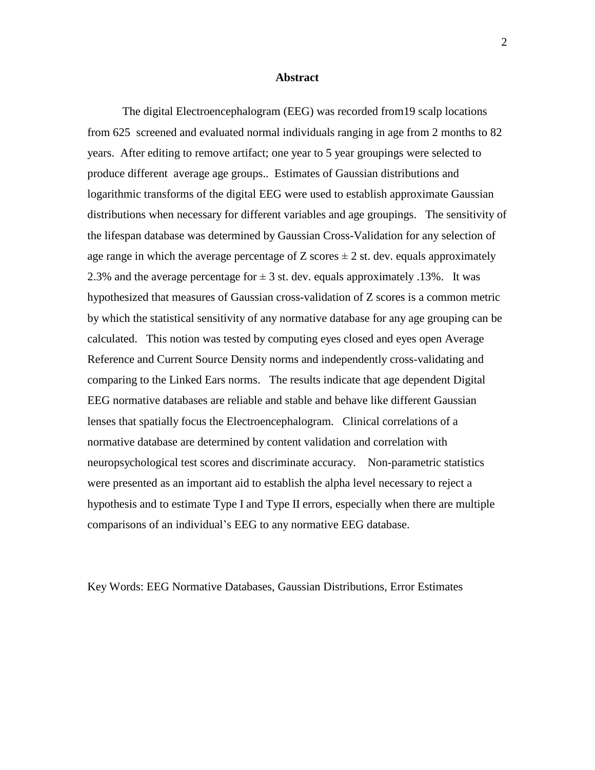#### **Abstract**

The digital Electroencephalogram (EEG) was recorded from19 scalp locations from 625 screened and evaluated normal individuals ranging in age from 2 months to 82 years. After editing to remove artifact; one year to 5 year groupings were selected to produce different average age groups.. Estimates of Gaussian distributions and logarithmic transforms of the digital EEG were used to establish approximate Gaussian distributions when necessary for different variables and age groupings. The sensitivity of the lifespan database was determined by Gaussian Cross-Validation for any selection of age range in which the average percentage of Z scores  $\pm$  2 st. dev. equals approximately 2.3% and the average percentage for  $\pm$  3 st. dev. equals approximately .13%. It was hypothesized that measures of Gaussian cross-validation of Z scores is a common metric by which the statistical sensitivity of any normative database for any age grouping can be calculated. This notion was tested by computing eyes closed and eyes open Average Reference and Current Source Density norms and independently cross-validating and comparing to the Linked Ears norms. The results indicate that age dependent Digital EEG normative databases are reliable and stable and behave like different Gaussian lenses that spatially focus the Electroencephalogram. Clinical correlations of a normative database are determined by content validation and correlation with neuropsychological test scores and discriminate accuracy. Non-parametric statistics were presented as an important aid to establish the alpha level necessary to reject a hypothesis and to estimate Type I and Type II errors, especially when there are multiple comparisons of an individual's EEG to any normative EEG database.

Key Words: EEG Normative Databases, Gaussian Distributions, Error Estimates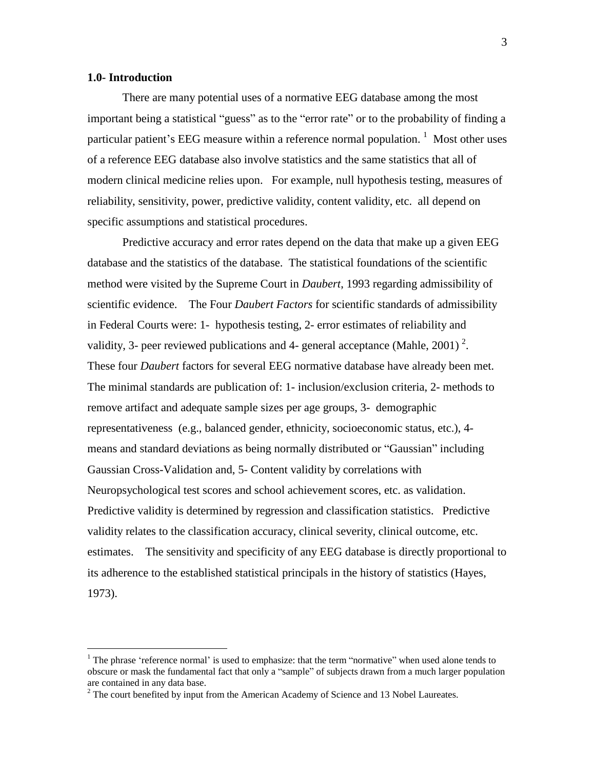#### **1.0- Introduction**

There are many potential uses of a normative EEG database among the most important being a statistical "guess" as to the "error rate" or to the probability of finding a particular patient's EEG measure within a reference normal population.  $1$  Most other uses of a reference EEG database also involve statistics and the same statistics that all of modern clinical medicine relies upon. For example, null hypothesis testing, measures of reliability, sensitivity, power, predictive validity, content validity, etc. all depend on specific assumptions and statistical procedures.

Predictive accuracy and error rates depend on the data that make up a given EEG database and the statistics of the database. The statistical foundations of the scientific method were visited by the Supreme Court in *Daubert*, 1993 regarding admissibility of scientific evidence. The Four *Daubert Factors* for scientific standards of admissibility in Federal Courts were: 1- hypothesis testing, 2- error estimates of reliability and validity, 3- peer reviewed publications and 4- general acceptance (Mahle, 2001)<sup>2</sup>. These four *Daubert* factors for several EEG normative database have already been met. The minimal standards are publication of: 1- inclusion/exclusion criteria, 2- methods to remove artifact and adequate sample sizes per age groups, 3- demographic representativeness (e.g., balanced gender, ethnicity, socioeconomic status, etc.), 4 means and standard deviations as being normally distributed or "Gaussian" including Gaussian Cross-Validation and, 5- Content validity by correlations with Neuropsychological test scores and school achievement scores, etc. as validation. Predictive validity is determined by regression and classification statistics. Predictive validity relates to the classification accuracy, clinical severity, clinical outcome, etc. estimates. The sensitivity and specificity of any EEG database is directly proportional to its adherence to the established statistical principals in the history of statistics (Hayes, 1973).

 $1$  The phrase 'reference normal' is used to emphasize: that the term "normative" when used alone tends to obscure or mask the fundamental fact that only a "sample" of subjects drawn from a much larger population are contained in any data base.<br><sup>2</sup> The court benefited by input from the American Academy of Science and 13 Nobel Laureates.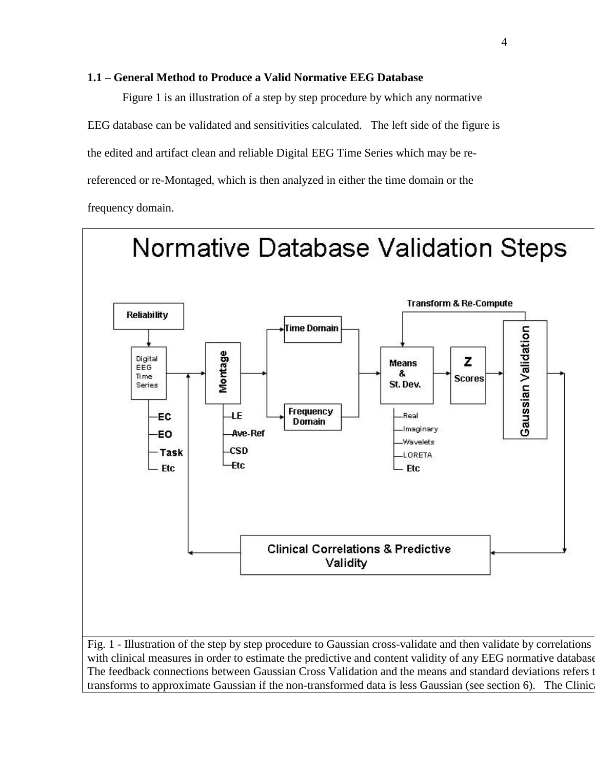#### **1.1 ñ General Method to Produce a Valid Normative EEG Database**

Figure 1 is an illustration of a step by step procedure by which any normative EEG database can be validated and sensitivities calculated. The left side of the figure is the edited and artifact clean and reliable Digital EEG Time Series which may be rereferenced or re-Montaged, which is then analyzed in either the time domain or the frequency domain.

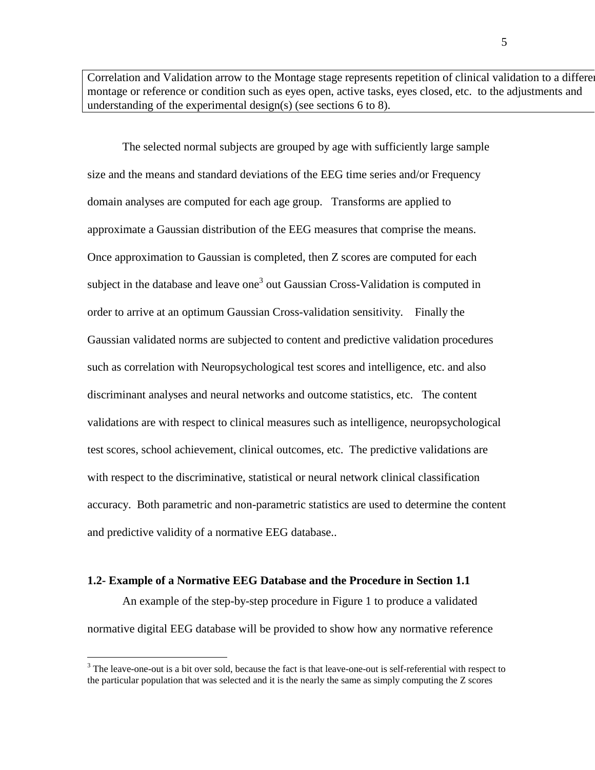Correlation and Validation arrow to the Montage stage represents repetition of clinical validation to a differe montage or reference or condition such as eyes open, active tasks, eyes closed, etc. to the adjustments and understanding of the experimental design(s) (see sections 6 to 8).

The selected normal subjects are grouped by age with sufficiently large sample size and the means and standard deviations of the EEG time series and/or Frequency domain analyses are computed for each age group. Transforms are applied to approximate a Gaussian distribution of the EEG measures that comprise the means. Once approximation to Gaussian is completed, then Z scores are computed for each subject in the database and leave one<sup>3</sup> out Gaussian Cross-Validation is computed in order to arrive at an optimum Gaussian Cross-validation sensitivity. Finally the Gaussian validated norms are subjected to content and predictive validation procedures such as correlation with Neuropsychological test scores and intelligence, etc. and also discriminant analyses and neural networks and outcome statistics, etc. The content validations are with respect to clinical measures such as intelligence, neuropsychological test scores, school achievement, clinical outcomes, etc. The predictive validations are with respect to the discriminative, statistical or neural network clinical classification accuracy. Both parametric and non-parametric statistics are used to determine the content and predictive validity of a normative EEG database..

#### **1.2- Example of a Normative EEG Database and the Procedure in Section 1.1**

An example of the step-by-step procedure in Figure 1 to produce a validated normative digital EEG database will be provided to show how any normative reference

 $3$  The leave-one-out is a bit over sold, because the fact is that leave-one-out is self-referential with respect to the particular population that was selected and it is the nearly the same as simply computing the Z scores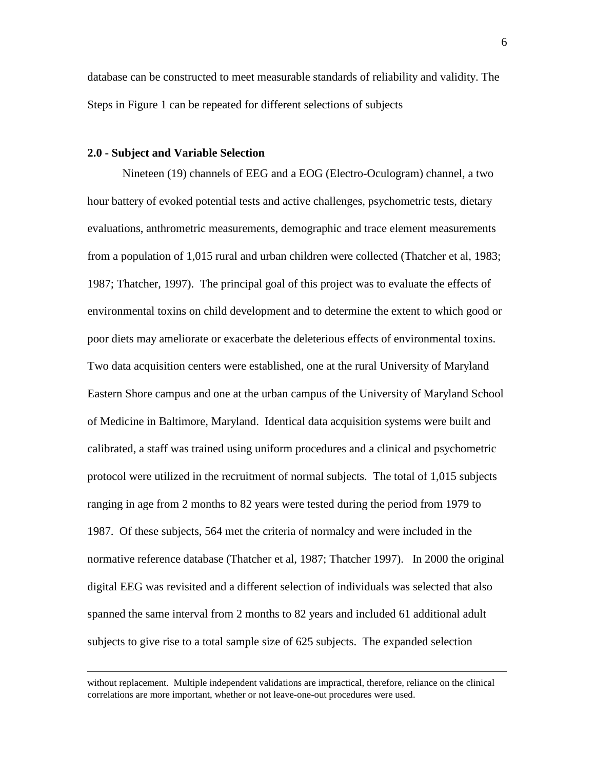database can be constructed to meet measurable standards of reliability and validity. The Steps in Figure 1 can be repeated for different selections of subjects

#### **2.0 - Subject and Variable Selection**

 $\overline{a}$ 

Nineteen (19) channels of EEG and a EOG (Electro-Oculogram) channel, a two hour battery of evoked potential tests and active challenges, psychometric tests, dietary evaluations, anthrometric measurements, demographic and trace element measurements from a population of 1,015 rural and urban children were collected (Thatcher et al, 1983; 1987; Thatcher, 1997). The principal goal of this project was to evaluate the effects of environmental toxins on child development and to determine the extent to which good or poor diets may ameliorate or exacerbate the deleterious effects of environmental toxins. Two data acquisition centers were established, one at the rural University of Maryland Eastern Shore campus and one at the urban campus of the University of Maryland School of Medicine in Baltimore, Maryland. Identical data acquisition systems were built and calibrated, a staff was trained using uniform procedures and a clinical and psychometric protocol were utilized in the recruitment of normal subjects. The total of 1,015 subjects ranging in age from 2 months to 82 years were tested during the period from 1979 to 1987. Of these subjects, 564 met the criteria of normalcy and were included in the normative reference database (Thatcher et al, 1987; Thatcher 1997). In 2000 the original digital EEG was revisited and a different selection of individuals was selected that also spanned the same interval from 2 months to 82 years and included 61 additional adult subjects to give rise to a total sample size of 625 subjects. The expanded selection

without replacement. Multiple independent validations are impractical, therefore, reliance on the clinical correlations are more important, whether or not leave-one-out procedures were used.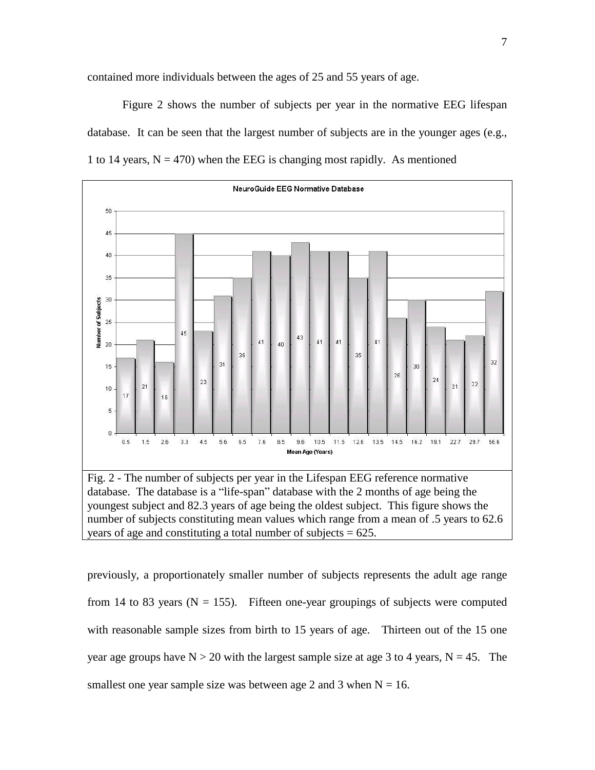contained more individuals between the ages of 25 and 55 years of age.

Figure 2 shows the number of subjects per year in the normative EEG lifespan database. It can be seen that the largest number of subjects are in the younger ages (e.g., 1 to 14 years,  $N = 470$ ) when the EEG is changing most rapidly. As mentioned



youngest subject and 82.3 years of age being the oldest subject. This figure shows the number of subjects constituting mean values which range from a mean of .5 years to 62.6 years of age and constituting a total number of subjects  $= 625$ .

previously, a proportionately smaller number of subjects represents the adult age range from 14 to 83 years ( $N = 155$ ). Fifteen one-year groupings of subjects were computed with reasonable sample sizes from birth to 15 years of age. Thirteen out of the 15 one year age groups have  $N > 20$  with the largest sample size at age 3 to 4 years,  $N = 45$ . The smallest one year sample size was between age 2 and 3 when  $N = 16$ .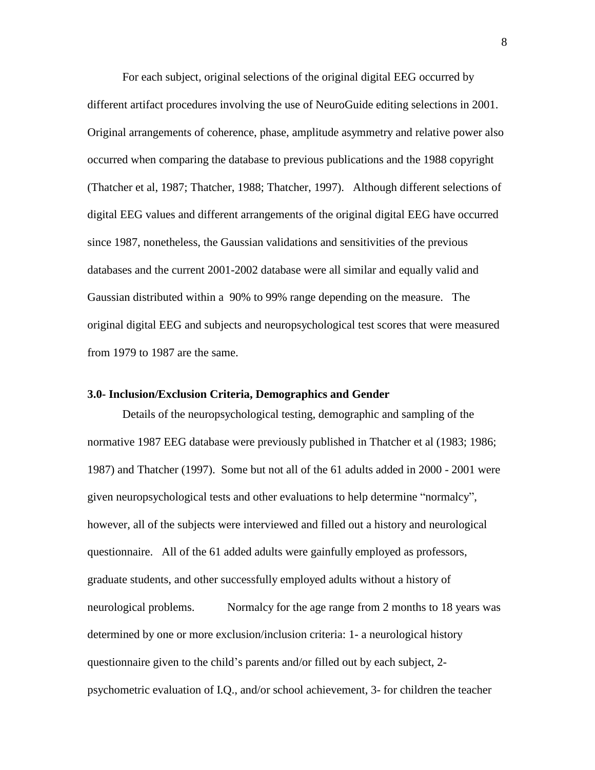For each subject, original selections of the original digital EEG occurred by different artifact procedures involving the use of NeuroGuide editing selections in 2001. Original arrangements of coherence, phase, amplitude asymmetry and relative power also occurred when comparing the database to previous publications and the 1988 copyright (Thatcher et al, 1987; Thatcher, 1988; Thatcher, 1997). Although different selections of digital EEG values and different arrangements of the original digital EEG have occurred since 1987, nonetheless, the Gaussian validations and sensitivities of the previous databases and the current 2001-2002 database were allsimilar and equally valid and Gaussian distributed within a 90% to 99% range depending on the measure. The original digital EEG and subjects and neuropsychological test scores that were measured from 1979 to 1987 are the same.

#### **3.0- Inclusion/Exclusion Criteria, Demographics and Gender**

Details of the neuropsychological testing, demographic and sampling of the normative 1987 EEG database were previously published in Thatcher et al (1983; 1986; 1987) and Thatcher (1997). Some but not all of the 61 adults added in 2000 - 2001 were given neuropsychological tests and other evaluations to help determine "normalcy", however, all of the subjects were interviewed and filled out a history and neurological questionnaire. All of the 61 added adults were gainfully employed as professors, graduate students, and other successfully employed adults without a history of neurological problems. Normalcy for the age range from 2 months to 18 years was determined by one or more exclusion/inclusion criteria: 1- a neurological history questionnaire given to the child's parents and/or filled out by each subject, 2psychometric evaluation of I.Q., and/or school achievement, 3- for children the teacher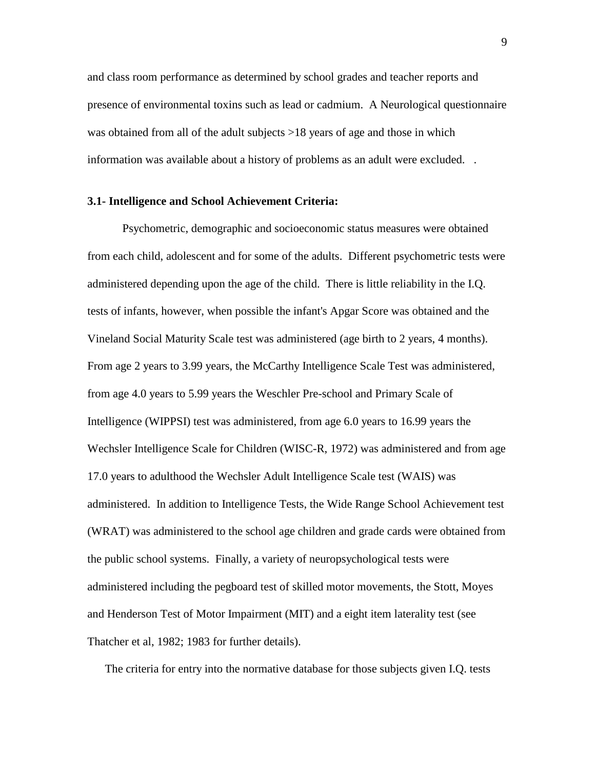and class room performance as determined by school grades and teacher reports and presence of environmental toxins such as lead or cadmium. A Neurological questionnaire was obtained from all of the adult subjects >18 years of age and those in which information was available about a history of problems as an adult were excluded. .

#### **3.1- Intelligence and School Achievement Criteria:**

Psychometric, demographic and socioeconomic status measures were obtained from each child, adolescent and for some of the adults. Different psychometric tests were administered depending upon the age of the child. There is little reliability in the I.Q. tests of infants, however, when possible the infant's Apgar Score was obtained and the Vineland Social Maturity Scale test was administered (age birth to 2 years, 4 months). From age 2 years to 3.99 years, the McCarthy Intelligence Scale Test was administered, from age 4.0 years to 5.99 years the Weschler Pre-school and Primary Scale of Intelligence (WIPPSI) test was administered, from age 6.0 years to 16.99 years the Wechsler Intelligence Scale for Children (WISC-R, 1972) was administered and from age 17.0 years to adulthood the Wechsler Adult Intelligence Scale test (WAIS) was administered. In addition to Intelligence Tests, the Wide Range School Achievement test (WRAT) was administered to the school age children and grade cards were obtained from the public school systems. Finally, a variety of neuropsychological tests were administered including the pegboard testof skilled motor movements, the Stott, Moyes and Henderson Test of Motor Impairment (MIT) and a eight item laterality test(see Thatcher et al, 1982; 1983 for further details).

The criteria for entry into the normative database for those subjects given I.Q. tests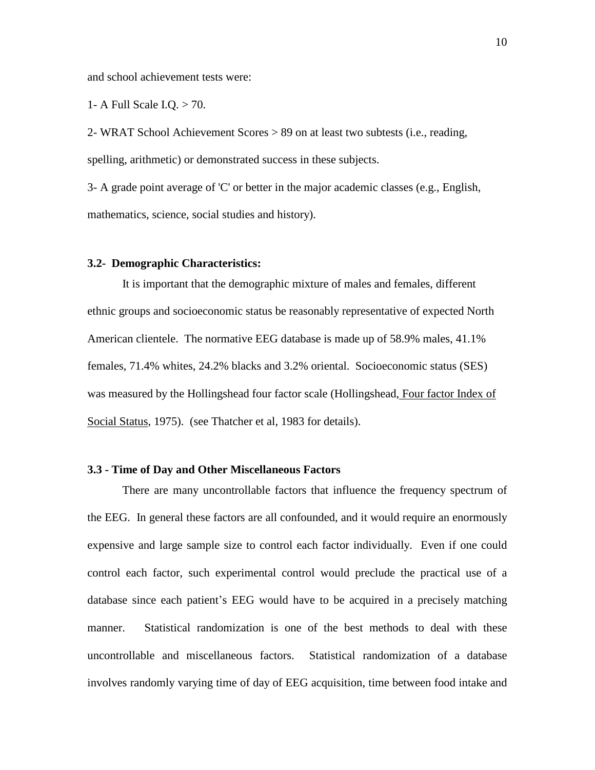and school achievement tests were:

1- A Full Scale I.Q. > 70.

2- WRAT School Achievement Scores > 89 on at least two subtests (i.e., reading, spelling, arithmetic) or demonstrated success in these subjects.

3- A grade point average of 'C' or better in the major academic classes (e.g., English, mathematics, science, social studies and history).

#### **3.2- Demographic Characteristics:**

It is important that the demographic mixture of males and females, different ethnic groups and socioeconomic status be reasonably representative of expected North American clientele. The normative EEG database is made up of 58.9% males, 41.1% females, 71.4% whites, 24.2% blacks and 3.2% oriental. Socioeconomic status (SES) was measured by the Hollingshead four factor scale (Hollingshead, Four factor Index of Social Status, 1975). (see Thatcher et al, 1983 for details).

#### **3.3 - Time of Day and Other Miscellaneous Factors**

There are many uncontrollable factors that influence the frequency spectrum of the EEG. In general these factors are all confounded, and it would require an enormously expensive and large sample size to control each factor individually. Even if one could control each factor, such experimental control would preclude the practical use of a database since each patient's EEG would have to be acquired in a precisely matching manner. Statistical randomization is one of the best methods to deal with these uncontrollable and miscellaneous factors. Statistical randomization of a database involves randomly varying time of day of EEG acquisition, time between food intake and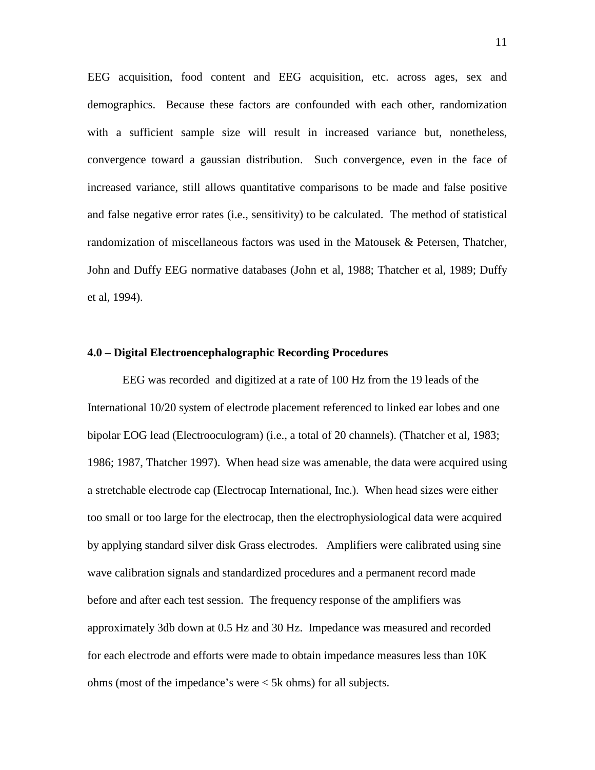EEG acquisition, food content and EEG acquisition, etc. across ages, sex and demographics. Because these factors are confounded with each other, randomization with a sufficient sample size will result in increased variance but, nonetheless, convergence toward a gaussian distribution. Such convergence, even in the face of increased variance, still allows quantitative comparisons to be made and false positive and false negative error rates (i.e., sensitivity) to be calculated. The method of statistical randomization of miscellaneous factors was used in the Matousek  $\&$  Petersen, Thatcher, John and Duffy EEG normative databases (John et al, 1988; Thatcher et al, 1989; Duffy et al, 1994).

#### **4.0 ñ Digital Electroencephalographic Recording Procedures**

EEG was recorded and digitized at a rate of 100 Hz from the 19 leads of the International 10/20 system of electrode placement referenced to linked ear lobes and one bipolar EOG lead (Electrooculogram) (i.e., a total of 20 channels). (Thatcher et al, 1983; 1986; 1987, Thatcher 1997). When head size was amenable, the data were acquired using a stretchable electrode cap (Electrocap International, Inc.). When head sizes were either too small or too large for the electrocap, then the electrophysiological data were acquired by applying standard silver disk Grass electrodes. Amplifiers were calibrated using sine wave calibration signals and standardized procedures and a permanent record made before and after each test session. The frequency response of the amplifiers was approximately 3db down at 0.5 Hz and 30 Hz. Impedance was measured and recorded for each electrode and efforts were made to obtain impedance measures less than 10K ohms (most of the impedance's were  $\lt$  5k ohms) for all subjects.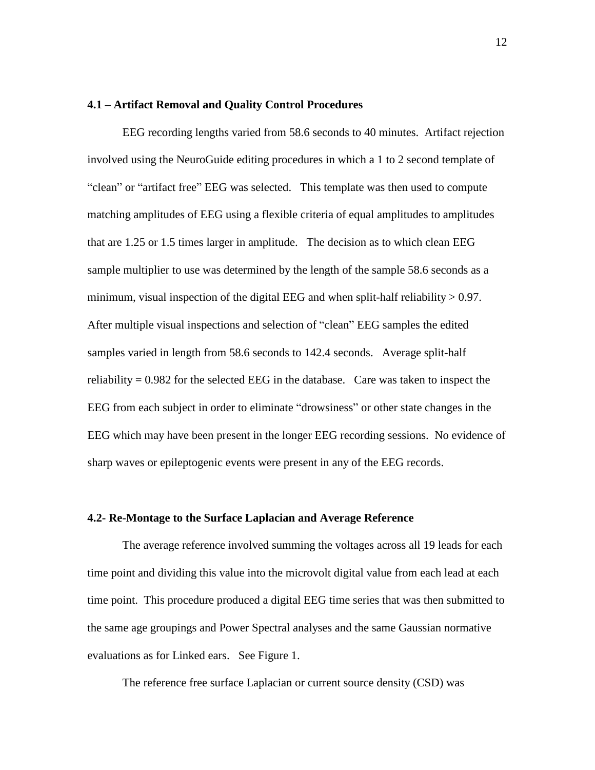#### **4.1 ñ Artifact Removal and Quality Control Procedures**

EEG recording lengths varied from 58.6 seconds to 40 minutes. Artifact rejection involved using the NeuroGuide editing procedures in which a 1 to 2 second template of "clean" or "artifact free" EEG was selected. This template was then used to compute matching amplitudes of EEG using a flexible criteria of equal amplitudes to amplitudes that are 1.25 or 1.5 times larger in amplitude. The decision as to which clean EEG sample multiplier to use was determined by the length of the sample 58.6 seconds as a minimum, visual inspection of the digital EEG and when split-half reliability  $> 0.97$ . After multiple visual inspections and selection of "clean" EEG samples the edited samples varied in length from 58.6 seconds to 142.4 seconds. Average split-half reliability  $= 0.982$  for the selected EEG in the database. Care was taken to inspect the EEG from each subject in order to eliminate "drowsiness" or other state changes in the EEG which may have been present in the longer EEG recording sessions. No evidence of sharp waves or epileptogenic events were present in any of the EEG records.

#### **4.2- Re-Montage to the Surface Laplacian and Average Reference**

The average reference involved summing the voltages across all 19 leads for each time point and dividing this value into the microvolt digital value from each lead at each time point. This procedure produced a digital EEG time series that was then submitted to the same age groupings and Power Spectral analyses and the same Gaussian normative evaluations as for Linked ears. See Figure 1.

The reference free surface Laplacian or current source density (CSD) was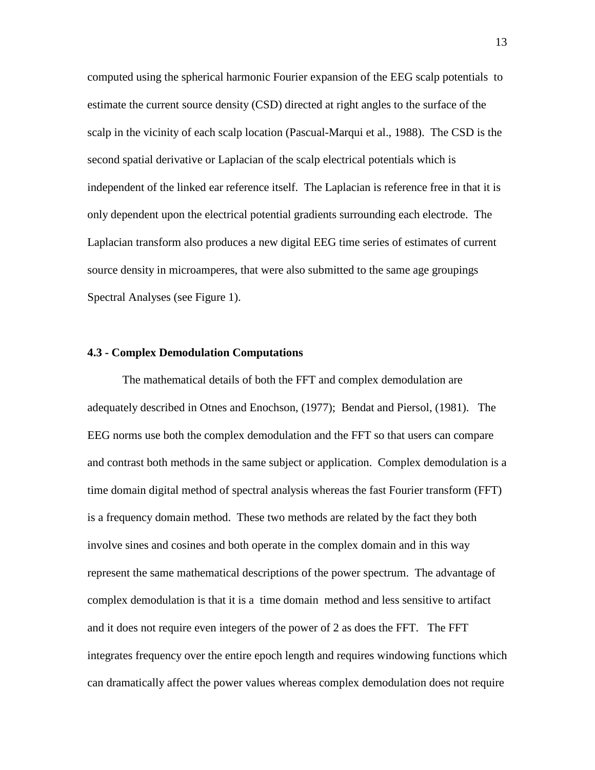computed using the spherical harmonic Fourier expansion of the EEG scalp potentials to estimate the current source density (CSD) directed at right angles to the surface of the scalp in the vicinity of each scalp location (Pascual-Marqui et al., 1988). The CSD is the second spatial derivative or Laplacian of the scalp electrical potentials which is independent of the linked ear reference itself. The Laplacian is reference free in that it is only dependent upon the electrical potential gradients surrounding each electrode. The Laplacian transform also produces a new digital EEG timeseries of estimates of current source density in microamperes, that were also submitted to the same age groupings Spectral Analyses (see Figure 1).

#### **4.3 - Complex Demodulation Computations**

The mathematical details of both the FFT and complex demodulation are adequately described in Otnes and Enochson, (1977); Bendat and Piersol, (1981). The EEG norms use both the complex demodulation and the FFT so that users can compare and contrast both methods in the same subject or application. Complex demodulation is a time domain digital method of spectral analysis whereas the fast Fourier transform (FFT) is a frequency domain method. These two methods are related by the fact they both involve sines and cosines and both operate in the complex domain and in this way represent the same mathematical descriptions of the power spectrum. The advantage of complex demodulation is that it is a time domain method and less sensitive to artifact and it does not require even integers of the power of 2 as does the FFT. The FFT integrates frequency over the entire epoch length and requires windowing functions which can dramatically affect the power values whereas complex demodulation does not require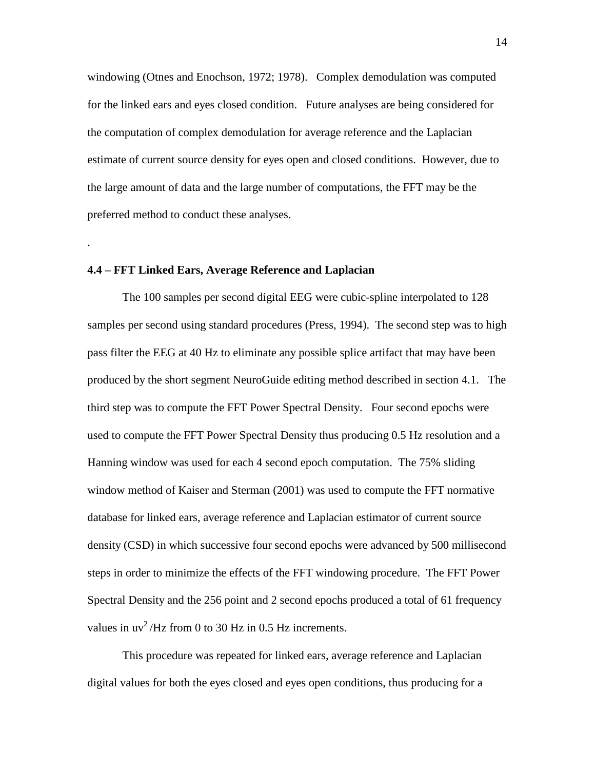windowing (Otnes and Enochson, 1972; 1978). Complex demodulation was computed for the linked ears and eyes closed condition. Future analyses are being considered for the computation of complex demodulation for average reference and the Laplacian estimate of current source density for eyes open and closed conditions. However, due to the large amount of data and the large number of computations, the FFT may be the preferred method to conduct these analyses.

#### **4.4 ñ FFT Linked Ears, Average Reference and Laplacian**

.

The 100 samples per second digital EEG were cubic-spline interpolated to 128 samples per second using standard procedures (Press, 1994). The second step was to high pass filter the EEG at 40 Hz to eliminate any possible splice artifact that may have been produced by the short segment NeuroGuide editing method described in section 4.1. The third step was to compute the FFT Power Spectral Density. Four second epochs were used to compute the FFT Power Spectral Density thus producing 0.5 Hz resolution and a Hanning window was used for each 4 second epoch computation. The 75% sliding window method of Kaiser and Sterman (2001) was used to compute the FFT normative database for linked ears, average reference and Laplacian estimator of current source density (CSD) in which successive four second epochs were advanced by 500 millisecond steps in order to minimize the effects of the FFT windowing procedure. The FFT Power Spectral Density and the 256 point and 2 second epochs produced a total of 61 frequency values in  $uv^2$ /Hz from 0 to 30 Hz in 0.5 Hz increments.

This procedure was repeated for linked ears, average reference and Laplacian digital values for both the eyes closed and eyes open conditions, thus producing for a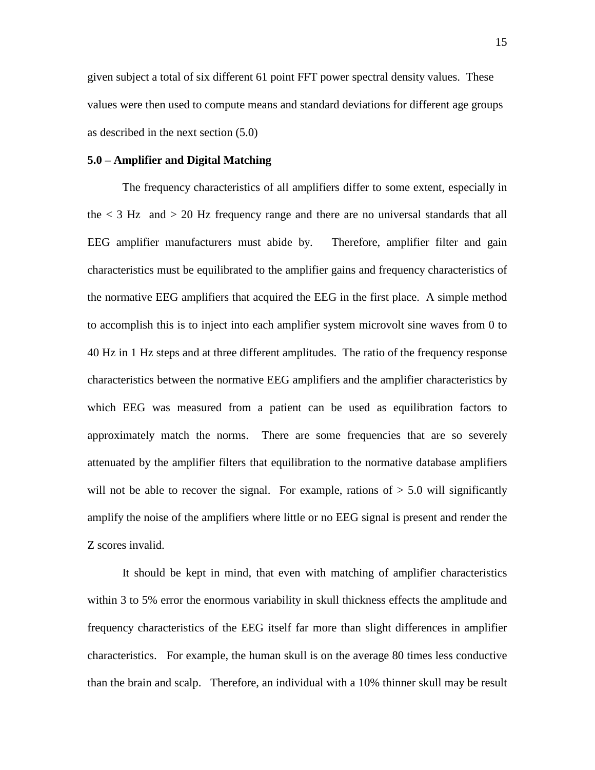given subject a total of six different 61 point FFT power spectral density values. These values were then used to compute means and standard deviations for different age groups as described in the next section (5.0)

#### **5.0 ñ Amplifier and Digital Matching**

The frequency characteristics of all amplifiers differ to some extent, especially in the  $\langle 3 \text{ Hz} \rangle$  and  $> 20$  Hz frequency range and there are no universal standards that all EEG amplifier manufacturers must abide by. Therefore, amplifier filter and gain characteristics must be equilibrated to the amplifier gains and frequency characteristics of the normative EEG amplifiers that acquired the EEG in the first place. A simple method to accomplish this is to inject into each amplifier system microvolt sine waves from 0 to 40 Hz in 1 Hz steps and at three different amplitudes. The ratio of the frequency response characteristics between the normative EEG amplifiers and the amplifier characteristics by which EEG was measured from a patient can be used as equilibration factors to approximately match the norms. There are some frequencies that are so severely attenuated by the amplifier filters that equilibration to the normative database amplifiers will not be able to recover the signal. For example, rations of  $> 5.0$  will significantly amplify the noise of the amplifiers where little or no EEG signal is present and render the Z scores invalid.

It should be kept in mind, that even with matching of amplifier characteristics within 3 to 5% error the enormous variability in skull thickness effects the amplitude and frequency characteristics of the EEG itself far more than slight differences in amplifier characteristics. For example, the human skull is on the average 80 times less conductive than the brain and scalp. Therefore, an individual with a 10% thinner skull may be result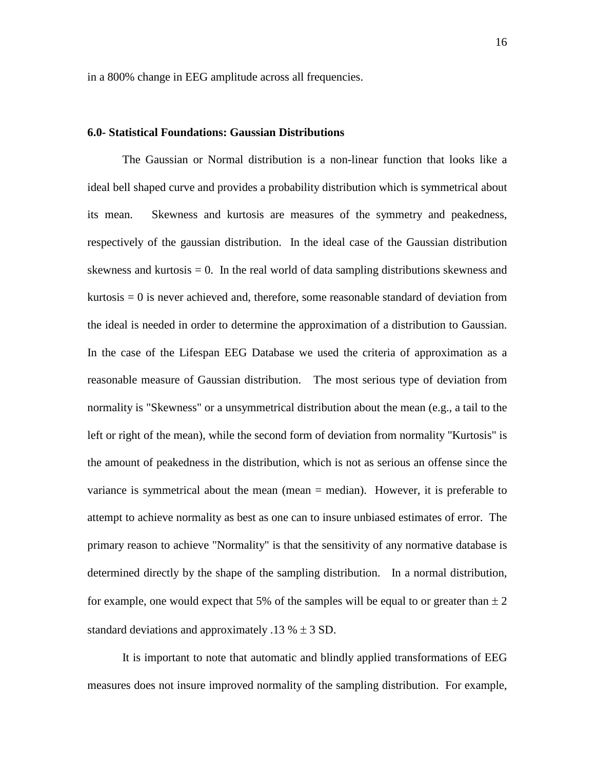in a 800% change in EEG amplitude across all frequencies.

#### **6.0- Statistical Foundations: Gaussian Distributions**

The Gaussian or Normal distribution is a non-linear function that looks like a ideal bell shaped curve and provides a probability distribution which is symmetrical about its mean. Skewness and kurtosis are measures of the symmetry and peakedness, respectively of the gaussian distribution. In the ideal case of the Gaussian distribution skewness and kurtosis  $= 0$ . In the real world of data sampling distributions skewness and kurtosis  $= 0$  is never achieved and, therefore, some reasonable standard of deviation from the ideal is needed in order to determine the approximation of a distribution to Gaussian. In the case of the Lifespan EEG Database we used the criteria of approximation as a reasonable measure of Gaussian distribution. The most serious type of deviation from normality is "Skewness" or a unsymmetrical distribution about the mean (e.g., a tail to the left or right of the mean), while the second form of deviation from normality "Kurtosis" is the amount of peakedness in the distribution, which is not as serious an offense since the variance is symmetrical about the mean (mean = median). However, it is preferable to attempt to achieve normality as best as one can to insure unbiased estimates of error. The primary reason to achieve "Normality" is that the sensitivity of any normative database is determined directly by the shape of the sampling distribution. In a normal distribution, for example, one would expect that 5% of the samples will be equal to or greater than  $\pm 2$ standard deviations and approximately .13  $% \pm 3$  SD.

It is important to note that automatic and blindly applied transformations of EEG measures does not insure improved normality of the sampling distribution. For example,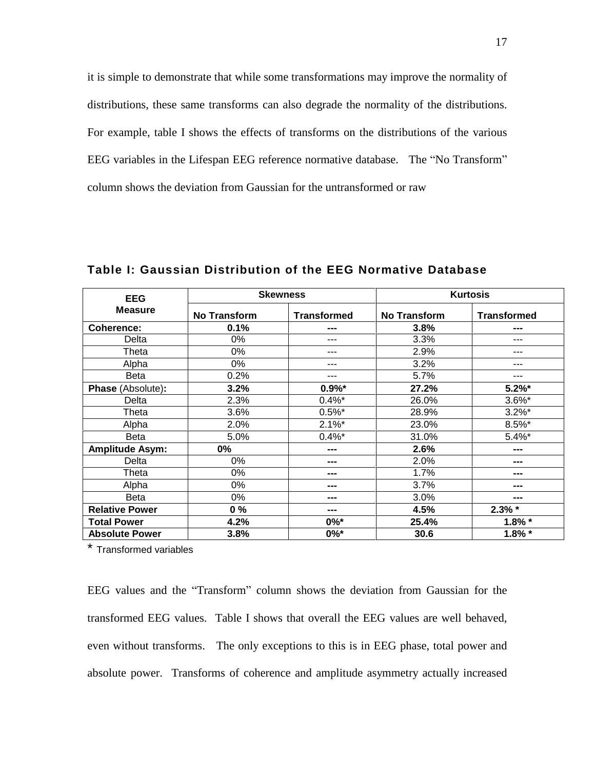it is simple to demonstrate that while some transformations may improve the normality of distributions, these same transforms can also degrade the normality of the distributions. For example, table I shows the effects of transforms on the distributions of the various EEG variables in the Lifespan EEG reference normative database. The "No Transform" column shows the deviation from Gaussian for the untransformed or raw

| <b>EEG</b>               |                     | <b>Skewness</b>    |                     | <b>Kurtosis</b>    |
|--------------------------|---------------------|--------------------|---------------------|--------------------|
| <b>Measure</b>           | <b>No Transform</b> | <b>Transformed</b> | <b>No Transform</b> | <b>Transformed</b> |
| Coherence:               | 0.1%                | ---                | 3.8%                | ---                |
| Delta                    | 0%                  | ---                | 3.3%                | ---                |
| Theta                    | $0\%$               | ---                | 2.9%                | ---                |
| Alpha                    | 0%                  | ---                | 3.2%                | ---                |
| <b>Beta</b>              | 0.2%                | ---                | 5.7%                | ---                |
| <b>Phase (Absolute):</b> | 3.2%                | $0.9\%$ *          | 27.2%               | $5.2\%$ *          |
| Delta                    | 2.3%                | $0.4\%$ *          | 26.0%               | $3.6\%$ *          |
| Theta                    | 3.6%                | $0.5\%$ *          | 28.9%               | $3.2\%$ *          |
| Alpha                    | 2.0%                | $2.1\%$ *          | 23.0%               | $8.5\%$ *          |
| <b>Beta</b>              | 5.0%                | $0.4\%$ *          | 31.0%               | $5.4\%$ *          |
| <b>Amplitude Asym:</b>   | $0\%$               | ---                | 2.6%                | ---                |
| Delta                    | $0\%$               | ---                | 2.0%                | ---                |
| Theta                    | 0%                  | ---                | 1.7%                | ---                |
| Alpha                    | 0%                  | ---                | 3.7%                | ---                |
| Beta                     | 0%                  | ---                | 3.0%                | ---                |
| <b>Relative Power</b>    | $0\%$               | ---                | 4.5%                | $2.3\%$ *          |
| <b>Total Power</b>       | 4.2%                | $0\%$ *            | 25.4%               | $1.8\%$ *          |
| <b>Absolute Power</b>    | 3.8%                | $0\%$ *            | 30.6                | $1.8\%$ *          |

**Table I: Gaussian Distribution of the EEG Normative Database**

\* Transformed variables

EEG values and the "Transform" column shows the deviation from Gaussian for the transformed EEG values. Table I shows that overall the EEG values are well behaved, even without transforms. The only exceptions to this is in EEG phase, total power and absolute power. Transforms of coherence and amplitude asymmetry actually increased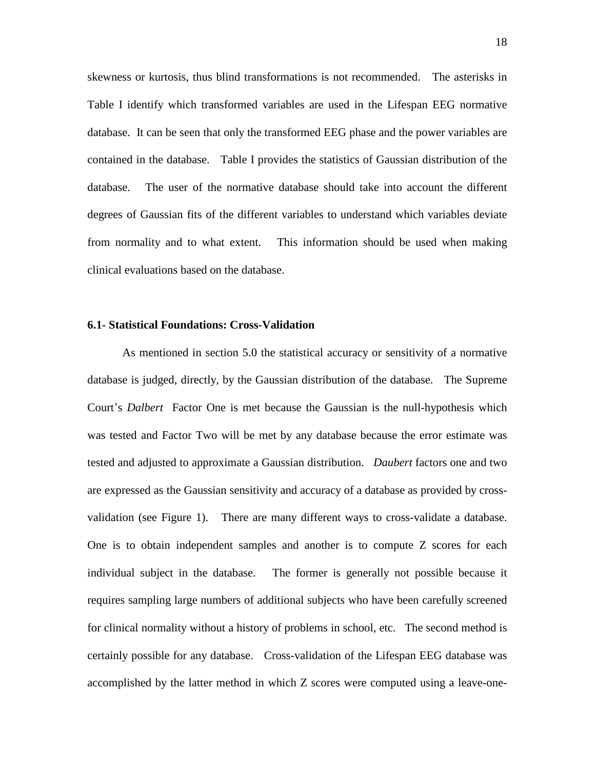skewness or kurtosis, thus blind transformations is not recommended. The asterisks in Table I identify which transformed variables are used in the Lifespan EEG normative database. It can be seen that only the transformed EEG phase and the power variables are contained in the database. Table I provides the statistics of Gaussian distribution of the database. The user of the normative database should take into account the different degrees of Gaussian fits of the different variables to understand which variables deviate from normality and to what extent. This information should be used when making clinical evaluations based on the database.

#### **6.1- Statistical Foundations: Cross-Validation**

As mentioned in section 5.0 the statistical accuracy or sensitivity of a normative database is judged, directly, by the Gaussian distribution of the database. The Supreme Court's *Dalbert* Factor One is met because the Gaussian is the null-hypothesis which was tested and Factor Two will be met by any database because the error estimate was tested and adjusted to approximate a Gaussian distribution. *Daubert* factors one and two are expressed as the Gaussian sensitivity and accuracy of a database as provided by cross validation (see Figure 1). There are many different ways to cross-validate a database. One is to obtain independent samples and another is to compute Z scores for each individual subject in the database. The former is generally not possible because it requires sampling large numbers of additional subjects who have been carefully screened for clinical normality without a history of problems in school, etc. The second method is certainly possible for any database. Cross-validation of the Lifespan EEG database was accomplished by the latter method in which Z scores were computed using a leave-one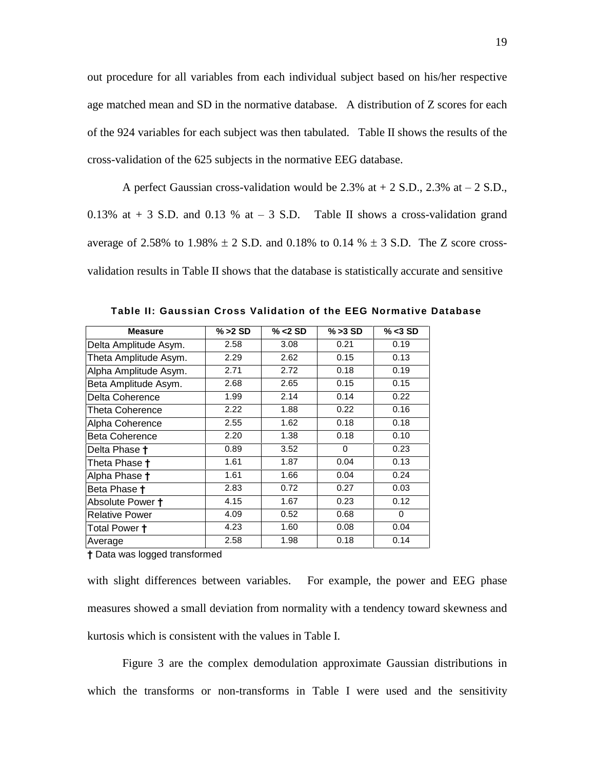out procedure for all variables from each individual subject based on his/her respective age matched mean and SD in the normative database. A distribution of Z scores for each of the 924 variables for each subject was then tabulated. Table II shows the results of the cross-validation of the 625 subjects in the normative EEG database.

A perfect Gaussian cross-validation would be 2.3% at  $+$  2 S.D., 2.3% at  $-$  2 S.D., 0.13% at  $+$  3 S.D. and 0.13 % at  $-$  3 S.D. Table II shows a cross-validation grand average of 2.58% to 1.98%  $\pm$  2 S.D. and 0.18% to 0.14 %  $\pm$  3 S.D. The Z score crossvalidation results in Table II shows that the database is statistically accurate and sensitive

| <b>Measure</b>        | $% > 2$ SD | $\% < 2$ SD | $% > 3$ SD | $\% < 3$ SD |
|-----------------------|------------|-------------|------------|-------------|
| Delta Amplitude Asym. | 2.58       | 3.08        | 0.21       | 0.19        |
| Theta Amplitude Asym. | 2.29       | 2.62        | 0.15       | 0.13        |
| Alpha Amplitude Asym. | 2.71       | 2.72        | 0.18       | 0.19        |
| Beta Amplitude Asym.  | 2.68       | 2.65        | 0.15       | 0.15        |
| Delta Coherence       | 1.99       | 2.14        | 0.14       | 0.22        |
| Theta Coherence       | 2.22       | 1.88        | 0.22       | 0.16        |
| Alpha Coherence       | 2.55       | 1.62        | 0.18       | 0.18        |
| <b>Beta Coherence</b> | 2.20       | 1.38        | 0.18       | 0.10        |
| Delta Phase †         | 0.89       | 3.52        | 0          | 0.23        |
| Theta Phase t         | 1.61       | 1.87        | 0.04       | 0.13        |
| Alpha Phase t         | 1.61       | 1.66        | 0.04       | 0.24        |
| Beta Phase †          | 2.83       | 0.72        | 0.27       | 0.03        |
| Absolute Power +      | 4.15       | 1.67        | 0.23       | 0.12        |
| <b>Relative Power</b> | 4.09       | 0.52        | 0.68       | 0           |
| Total Power <b>†</b>  | 4.23       | 1.60        | 0.08       | 0.04        |
| Average               | 2.58       | 1.98        | 0.18       | 0.14        |

**Table II: Gaussian Cross Validation of the EEG Normative Database**

**Ü** Data was logged transformed

with slight differences between variables. For example, the power and EEG phase measures showed a small deviation from normality with a tendency toward skewness and kurtosis which is consistent with the values in Table I.

Figure 3 are the complex demodulation approximate Gaussian distributions in which the transforms or non-transforms in Table I were used and the sensitivity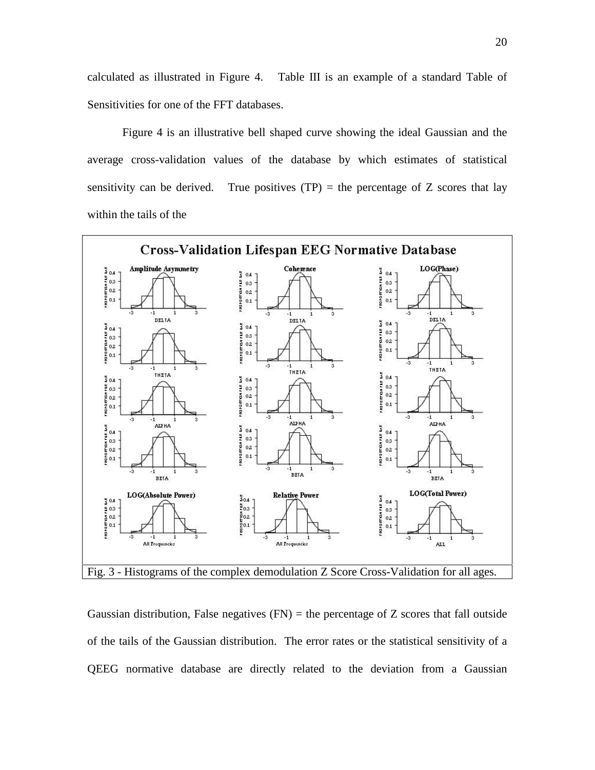calculated as illustrated in Figure 4. Table III is an example of a standard Table of Sensitivities for one of the FFT databases.

Figure 4 is an illustrative bell shaped curve showing the ideal Gaussian and the average cross-validation values of the database by which estimates of statistical sensitivity can be derived. True positives  $(TP)$  = the percentage of Z scores that lay within the tails of the



Gaussian distribution, False negatives  $(FN)$  = the percentage of Z scores that fall outside of the tails of the Gaussian distribution. The error rates or the statistical sensitivity of a QEEG normative database are directly related to the deviation from a Gaussian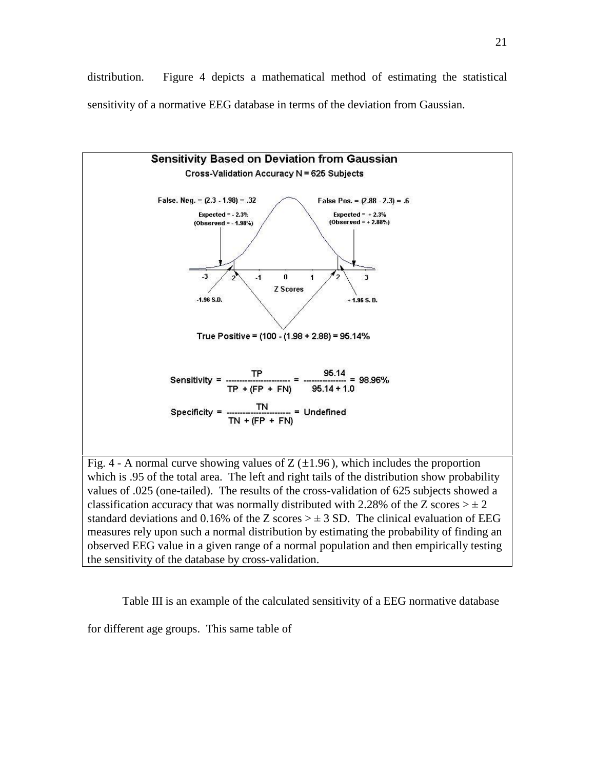distribution. Figure 4 depicts a mathematical method of estimating the statistical sensitivity of a normative EEG database in terms of the deviation from Gaussian.



Table III is an example of the calculated sensitivity of a EEG normative database

for different age groups. This same table of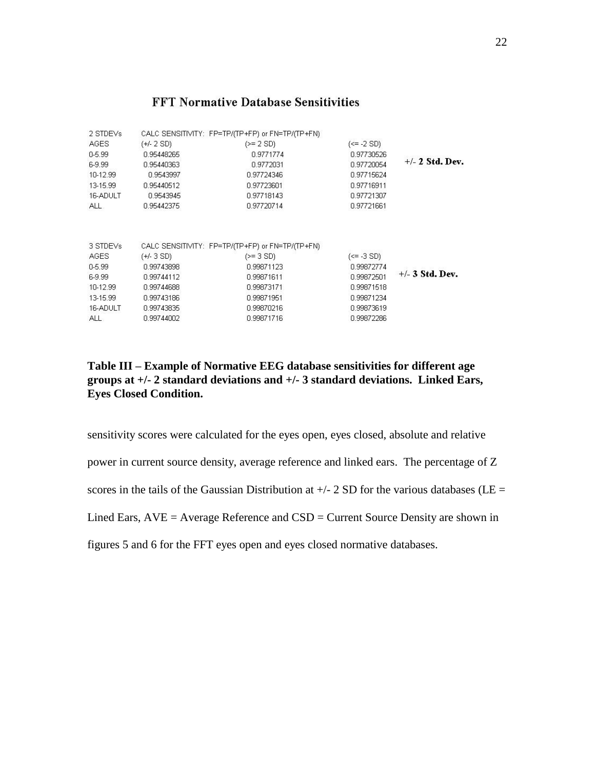#### **FFT Normative Database Sensitivities**

| 2 STDEVs    |            | CALC SENSITIVITY: FP=TP/(TP+FP) or FN=TP/(TP+FN) |                |                   |
|-------------|------------|--------------------------------------------------|----------------|-------------------|
| <b>AGES</b> | (+/- 2 SD) | $(>= 2 SD)$                                      | $(\le -2 SD)$  |                   |
| $0 - 5.99$  | 0.95448265 | 0.9771774                                        | 0.97730526     |                   |
| 6-9.99      | 0.95440363 | 0.9772031                                        | 0.97720054     | $+/- 2$ Std. Dev. |
| 10-12.99    | 0.9543997  | 0.97724346                                       | 0.97715624     |                   |
| 13-15.99    | 0.95440512 | 0.97723601                                       | 0.97716911     |                   |
| 16-ADULT    | 0.9543945  | 0.97718143                                       | 0.97721307     |                   |
| ALL.        | 0.95442375 | 0.97720714                                       | 0.97721661     |                   |
| 3 STDEVs    |            | CALC SENSITIVITY: FP=TP/(TP+FP) or FN=TP/(TP+FN) |                |                   |
|             |            |                                                  |                |                   |
| AGES        | (+/- 3 SD) | $(>= 3 SD)$                                      | $(\leq -3$ SD) |                   |
| $0 - 5.99$  | 0.99743898 | 0.99871123                                       | 0.99872774     |                   |
| 6-9.99      | 0.99744112 | 0.99871611                                       | 0.99872501     | $+/-$ 3 Std. Dev. |
| 10-12.99    | 0.99744688 | 0.99873171                                       | 0.99871518     |                   |
| 13-15.99    | 0.99743186 | 0.99871951                                       | 0.99871234     |                   |
| 16-ADULT    | 0.99743835 | 0.99870216                                       | 0.99873619     |                   |
| ALL.        | 0.99744002 | 0.99871716                                       | 0.99872286     |                   |
|             |            |                                                  |                |                   |

### **Table III ñ Example of Normative EEG database sensitivities for different age groups at +/- 2 standard deviations and +/- 3 standard deviations. Linked Ears, Eyes Closed Condition.**

sensitivity scores were calculated for the eyes open, eyes closed, absolute and relative power in current source density, average reference and linked ears. The percentage of Z scores in the tails of the Gaussian Distribution at  $+/- 2$  SD for the various databases (LE = Lined Ears,  $AVE = Average Reference$  and  $CSD = Current$  Source Density are shown in

figures 5 and 6 for the FFT eyes open and eyes closed normative databases.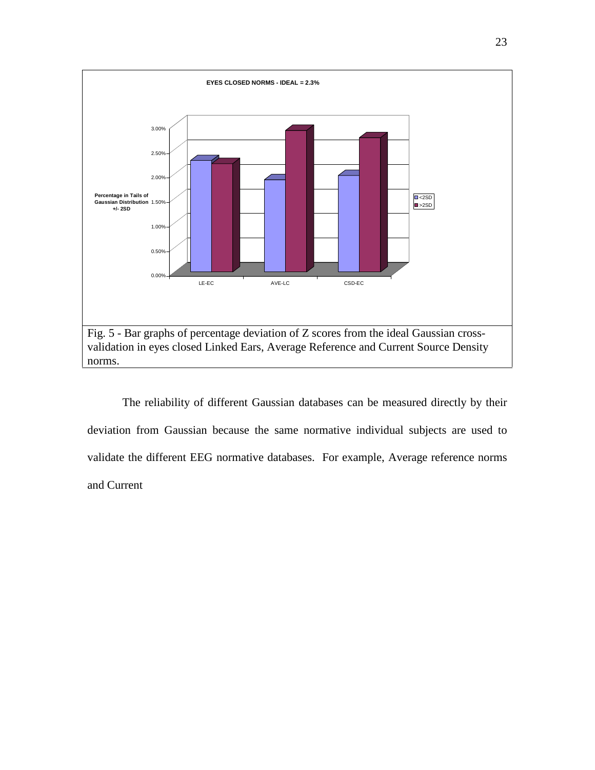

The reliability of different Gaussian databases can be measured directly by their deviation from Gaussian because the same normative individual subjects are used to validate the different EEG normative databases. For example, Average reference norms and Current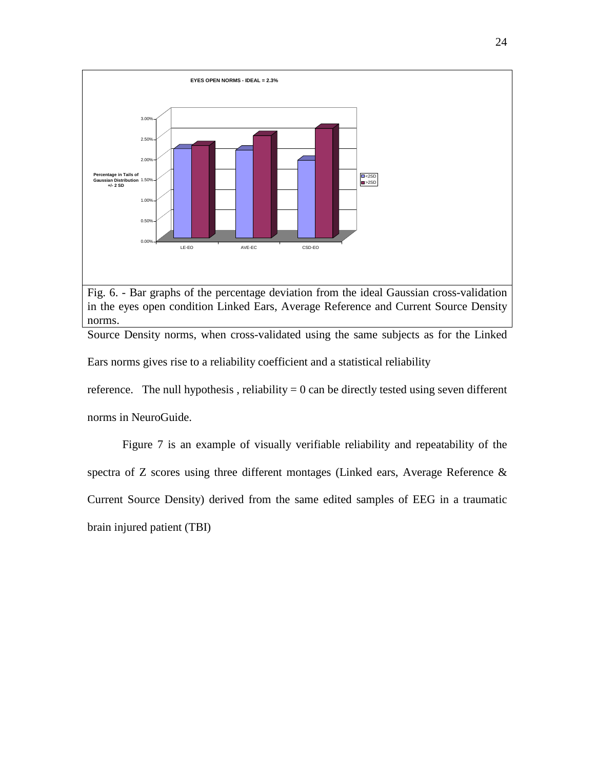

Fig. 6. - Bar graphs of the percentage deviation from the ideal Gaussian cross-validation in the eyes open condition Linked Ears, Average Reference and Current Source Density norms.

Source Density norms, when cross-validated using the same subjects as for the Linked

Ears norms gives rise to a reliability coefficient and a statistical reliability

reference. The null hypothesis, reliability  $= 0$  can be directly tested using seven different norms in NeuroGuide.

Figure 7 is an example of visually verifiable reliability and repeatability of the spectra of Z scores using three different montages (Linked ears, Average Reference & Current Source Density) derived from the same edited samples of EEG in a traumatic brain injured patient (TBI)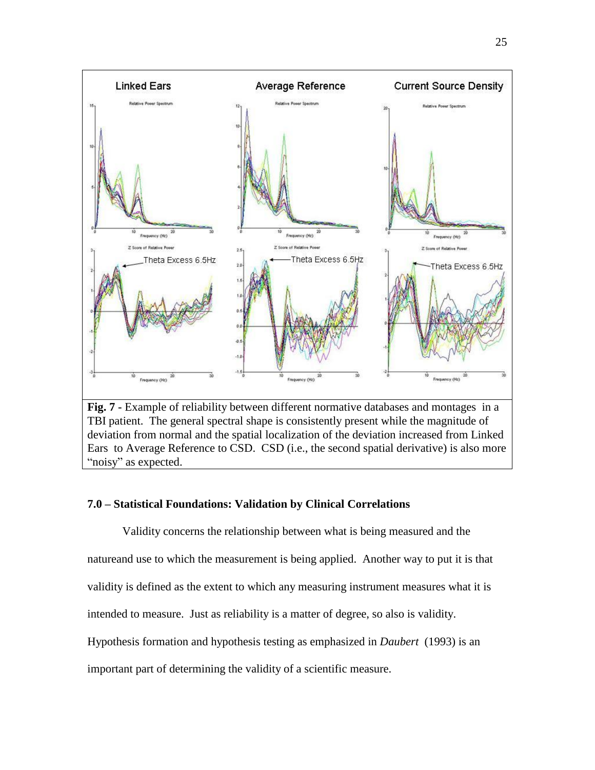

deviation from normal and the spatial localization of the deviation increased from Linked Ears to Average Reference to CSD. CSD (i.e., the second spatial derivative) is also more "noisy" as expected.

#### **7.0 ñ Statistical Foundations: Validation by Clinical Correlations**

Validity concerns the relationship between what is being measured and the natureand use to which the measurement is being applied. Another way to put it is that validity is defined as the extent to which any measuring instrument measures what it is intended to measure. Just as reliability is a matter of degree, so also is validity. Hypothesis formation and hypothesis testing as emphasized in *Daubert* (1993) is an important part of determining the validity of a scientific measure.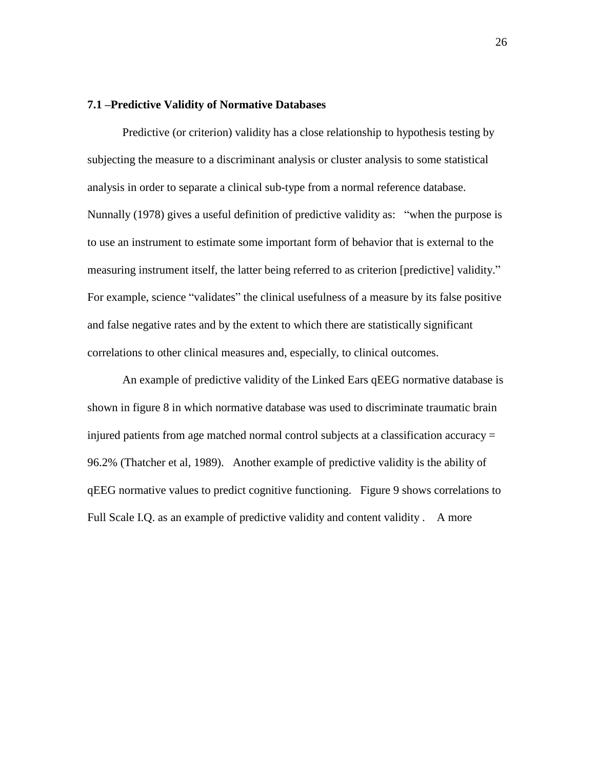#### **7.1 ñPredictive Validity of Normative Databases**

Predictive (or criterion) validity has a close relationship to hypothesis testing by subjecting the measure to a discriminant analysis or cluster analysis to some statistical analysis in order to separate a clinical sub-type from a normal reference database. Nunnally (1978) gives a useful definition of predictive validity as: "when the purpose is to use an instrument to estimate some important form of behavior that is external to the measuring instrument itself, the latter being referred to as criterion [predictive] validity." For example, science "validates" the clinical usefulness of a measure by its false positive and false negative rates and by the extent to which there are statistically significant correlations to other clinical measures and, especially, to clinical outcomes.

An example of predictive validity of the Linked Ears qEEG normative database is shown in figure 8 in which normative database was used to discriminate traumatic brain injured patients from age matched normal control subjects at a classification accuracy = 96.2% (Thatcher et al, 1989). Another example of predictive validity is the ability of qEEG normative values to predict cognitive functioning. Figure 9 shows correlations to Full Scale I.Q. as an example of predictive validity and content validity . A more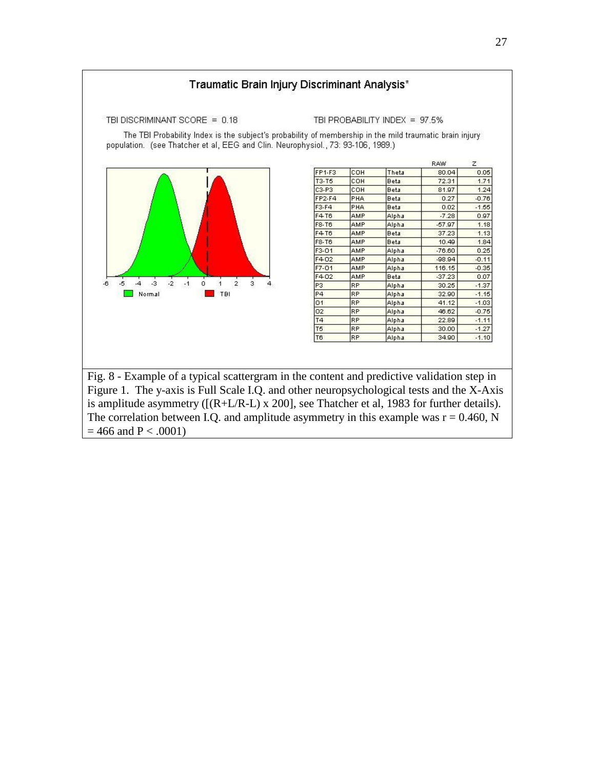

The correlation between I.Q. and amplitude asymmetry in this example was  $r = 0.460$ , N  $= 466$  and P < .0001)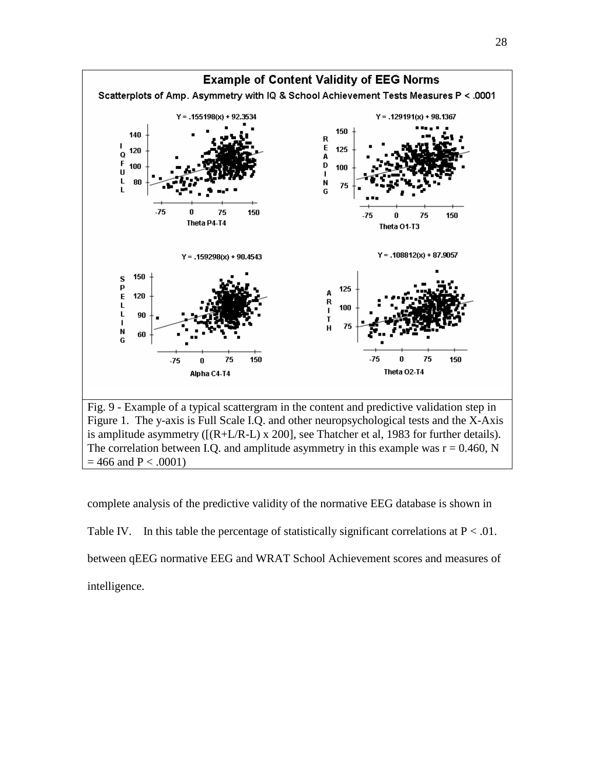

28

complete analysis of the predictive validity of the normative EEG database is shown in Table IV. In this table the percentage of statistically significant correlations at  $P < .01$ . between qEEG normative EEG and WRAT School Achievement scores and measures of intelligence.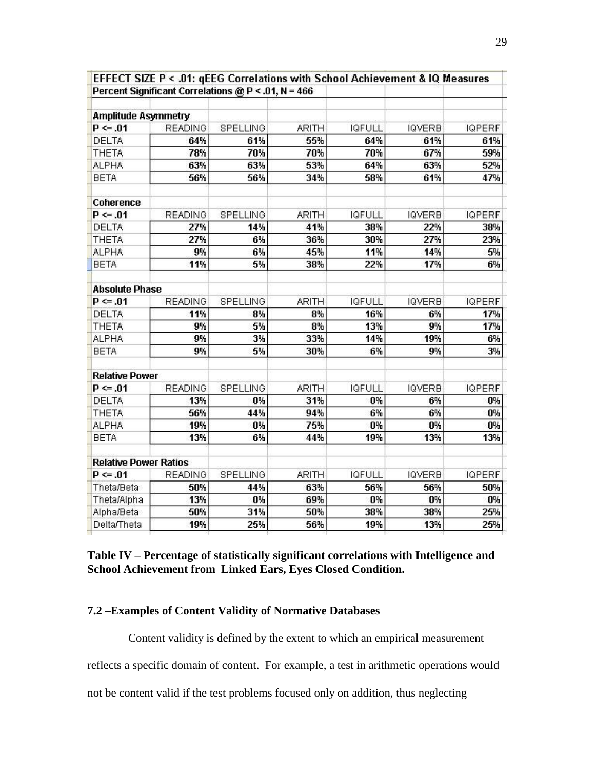|                              |                | Percent Significant Correlations @ P < .01, N = 466 |              |               |               |               |
|------------------------------|----------------|-----------------------------------------------------|--------------|---------------|---------------|---------------|
| <b>Amplitude Asymmetry</b>   |                |                                                     |              |               |               |               |
| $P \le 0.01$                 | <b>READING</b> | SPELLING                                            | <b>ARITH</b> | <b>IQFULL</b> | <b>IQVERB</b> | <b>IQPERF</b> |
| DELTA                        | 64%            | 61%                                                 | 55%          | 64%           | 61%           | 61%           |
| <b>THETA</b>                 | 78%            | 70%                                                 | 70%          | 70%           | 67%           | 59%           |
| <b>ALPHA</b>                 | 63%            | 63%                                                 | 53%          | 64%           | 63%           | 52%           |
| <b>BETA</b>                  | 56%            | 56%                                                 | 34%          | 58%           | 61%           | 47%           |
|                              |                |                                                     |              |               |               |               |
| Coherence                    |                |                                                     |              |               |               |               |
| $P \le 0.01$                 | <b>READING</b> | SPELLING                                            | <b>ARITH</b> | <b>IQFULL</b> | <b>IQVERB</b> | <b>IQPERF</b> |
| <b>DELTA</b>                 | 27%            | 14%                                                 | 41%          | 38%           | 22%           | 38%           |
| <b>THETA</b>                 | 27%            | 6%                                                  | 36%          | 30%           | 27%           | 23%           |
| <b>ALPHA</b>                 | 9%             | 6%                                                  | 45%          | 11%           | 14%           | 5%            |
| <b>BETA</b>                  | 11%            | 5%                                                  | 38%          | 22%           | 17%           | 6%            |
| <b>Absolute Phase</b>        |                |                                                     |              |               |               |               |
| $P \le 0.01$                 | <b>READING</b> | SPELLING                                            | <b>ARITH</b> | <b>IQFULL</b> | <b>IQVERB</b> | <b>IQPERF</b> |
| <b>DELTA</b>                 | 11%            | 8%                                                  | 8%           | 16%           | 6%            | 17%           |
| <b>THETA</b>                 | 9%             | 5%                                                  | 8%           | 13%           | 9%            | 17%           |
| <b>ALPHA</b>                 | 9%             | 3%                                                  | 33%          | 14%           | 19%           | 6%            |
| <b>BETA</b>                  | 9%             | 5%                                                  | 30%          | 6%            | 9%            | 3%            |
| <b>Relative Power</b>        |                |                                                     |              |               |               |               |
| $P \le 0.01$                 | <b>READING</b> | SPELLING                                            | <b>ARITH</b> | <b>IQFULL</b> | <b>IQVERB</b> | <b>IQPERF</b> |
| <b>DELTA</b>                 | 13%            | 0%                                                  | 31%          | 0%            | 6%            | 0%            |
| <b>THETA</b>                 | 56%            | 44%                                                 | 94%          | 6%            | 6%            | 0%            |
| <b>ALPHA</b>                 | 19%            | 0%                                                  | 75%          | 0%            | 0%            | 0%            |
| <b>BETA</b>                  | 13%            | 6%                                                  | 44%          | 19%           | 13%           | 13%           |
|                              |                |                                                     |              |               |               |               |
| <b>Relative Power Ratios</b> |                |                                                     |              |               |               |               |
| $P \le 0.01$                 | <b>READING</b> | SPELLING                                            | <b>ARITH</b> | <b>IQFULL</b> | <b>IQVERB</b> | <b>IQPERF</b> |
| Theta/Beta                   | 50%            | 44%                                                 | 63%          | 56%           | 56%           | 50%           |
| Theta/Alpha                  | 13%            | 0%                                                  | 69%          | 0%            | 0%            | 0%            |
| Alpha/Beta                   | 50%            | 31%                                                 | 50%          | 38%           | 38%           | 25%           |
| Delta/Theta                  | 19%            | 25%                                                 | 56%          | 19%           | 13%           | 25%           |

EFFECT SIZE P < .01: qEEG Correlations with School Achievement & IQ Measures

**Table IV ñ Percentage of statistically significant correlations with Intelligence and School Achievement from Linked Ears, Eyes Closed Condition.**

#### **7.2 ñExamples of Content Validity of Normative Databases**

Content validity is defined by the extent to which an empirical measurement

reflects a specific domain of content. For example, a test in arithmetic operations would

not be content valid if the test problems focused only on addition, thus neglecting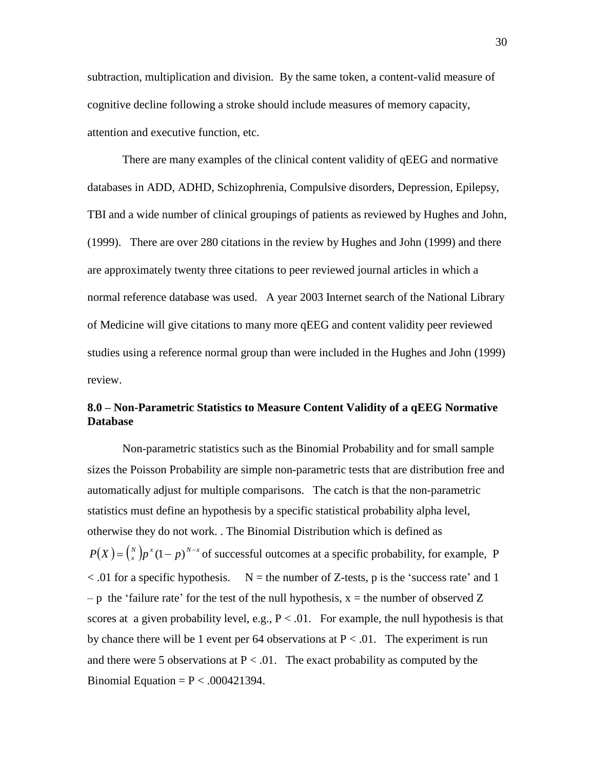subtraction, multiplication and division. By the same token, a content-valid measure of cognitive decline following a stroke should include measures of memory capacity, attention and executive function, etc.

There are many examples of the clinical content validity of qEEG and normative databases in ADD, ADHD, Schizophrenia, Compulsive disorders, Depression, Epilepsy, TBI and a wide number of clinical groupings of patients as reviewed by Hughes and John, (1999). There are over 280 citations in the review by Hughes and John (1999) and there are approximately twenty three citations to peer reviewed journal articles in which a normal reference database was used. A year 2003 Internet search of the National Library of Medicine will give citations to many more qEEG and content validity peer reviewed studies using a reference normal group than were included in the Hughes and John (1999) review.

### **8.0 ñ Non-Parametric Statistics to Measure Content Validity of a qEEG Normative Database**

Non-parametric statistics such as the Binomial Probability and for small sample sizes the Poisson Probability are simple non-parametric tests that are distribution free and automatically adjust for multiple comparisons. The catch is that the non-parametric statistics must define an hypothesis by a specific statistical probability alpha level, otherwise they do not work. . The Binomial Distribution which is defined as  $P(X) = {N \choose x} p^x (1-p)^{N-x}$  of successful outcomes at a specific probability, for example, P  $< .01$  for a specific hypothesis. N = the number of Z-tests, p is the 'success rate' and 1 - p the 'failure rate' for the test of the null hypothesis,  $x =$  the number of observed Z scores at a given probability level, e.g.,  $P < 0.01$ . For example, the null hypothesis is that by chance there will be 1 event per 64 observations at  $P < .01$ . The experiment is run and there were 5 observations at  $P < 0.01$ . The exact probability as computed by the Binomial Equation =  $P < .000421394$ .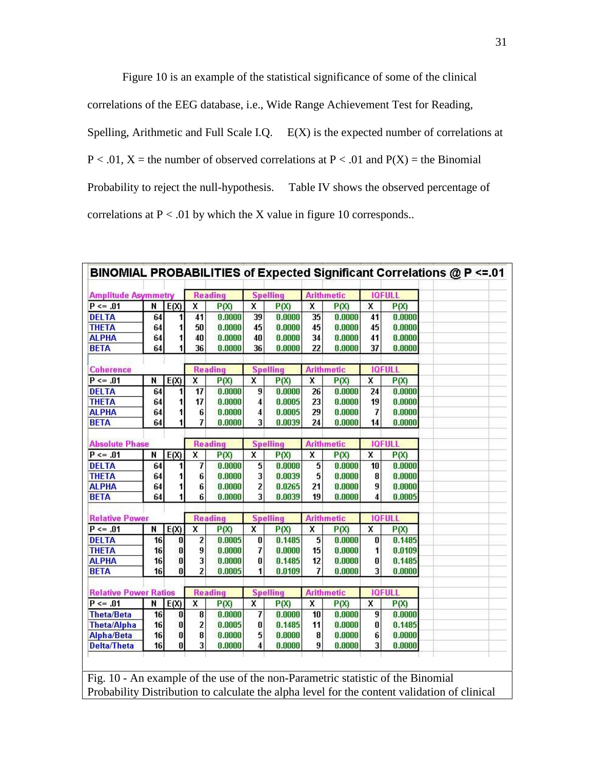Figure 10 is an example of the statistical significance of some of the clinical correlations of the EEG database, i.e., Wide Range Achievement Test for Reading, Spelling, Arithmetic and Full Scale I.Q. E(X) is the expected number of correlations at  $P < .01$ ,  $X =$  the number of observed correlations at  $P < .01$  and  $P(X) =$  the Binomial Probability to reject the null-hypothesis. Table IV shows the observed percentage of correlations at  $P < 0.01$  by which the X value in figure 10 corresponds..

| <b>Amplitude Asymmetry</b>   |                 |           |                         | <b>Reading</b> |                         | <b>Spelling</b> | <b>Arithmetic</b>       |        |                         | <b>IQFULL</b> |  |
|------------------------------|-----------------|-----------|-------------------------|----------------|-------------------------|-----------------|-------------------------|--------|-------------------------|---------------|--|
| $P \le 0.01$                 | N               | E(X)      | $\overline{\mathbf{x}}$ | P(X)           | $\overline{\mathbf{x}}$ | P(X)            | $\overline{\mathbf{x}}$ | P(X)   | $\overline{\mathbf{x}}$ | P(X)          |  |
| <b>DELTA</b>                 | 64              | 1         | 41                      | 0.0000         | 39                      | 0.0000          | 35                      | 0.0000 | 41                      | 0.0000        |  |
| <b>THETA</b>                 | 64              | 1         | 50                      | 0.0000         | 45                      | 0.0000          | 45                      | 0.0000 | 45                      | 0.0000        |  |
| <b>ALPHA</b>                 | 64              | 1         | 40                      | 0.0000         | 40                      | 0.0000          | 34                      | 0.0000 | 41                      | 0.0000        |  |
| <b>BETA</b>                  | 64              |           | 36                      | 0.0000         | 36                      | 0.0000          | 22                      | 0.0000 | 37                      | 0.0000        |  |
| <b>Coherence</b>             |                 |           |                         | <b>Reading</b> |                         | <b>Spelling</b> | <b>Arithmetic</b>       |        | <b>IQFULL</b>           |               |  |
| $P \le 0.01$                 | N               | E(X)      | $\overline{\mathbf{x}}$ | P(X)           | $\mathbf{x}$            | P(X)            | X                       | P(X)   | $\overline{\mathbf{x}}$ | P(X)          |  |
| <b>DELTA</b>                 | 64              |           | 17                      | 0.0000         | 9                       | 0.0000          | 26                      | 0.0000 | 24                      | 0.0000        |  |
| <b>THETA</b>                 | 64              | 1         | 17                      | 0.0000         | $\overline{\bf{4}}$     | 0.0005          | 23                      | 0.0000 | 19                      | 0.0000        |  |
| <b>ALPHA</b>                 | 64              |           | 6                       | 0.0000         | 4                       | 0.0005          | 29                      | 0.0000 | 7                       | 0.0000        |  |
| <b>BETA</b>                  | 64              | 1         | 7                       | 0.0000         | 3                       | 0.0039          | 24                      | 0.0000 | 14                      | 0.0000        |  |
|                              |                 |           |                         |                |                         |                 |                         |        |                         |               |  |
| <b>Absolute Phase</b>        |                 |           |                         | <b>Reading</b> |                         | <b>Spelling</b> | <b>Arithmetic</b>       |        | <b>IQFULL</b>           |               |  |
| $P \le 0.01$                 | N               | E(X)      | X                       | P(X)           | $\overline{\mathbf{x}}$ | P(X)            | x                       | P(X)   | X                       | P(X)          |  |
| <b>DELTA</b>                 | 64              |           | 7                       | 0.0000         | 5                       | 0.0000          | 5                       | 0.0000 | 10                      | 0.0000        |  |
| <b>THETA</b>                 | 64              |           | 6                       | 0.0000         | 3                       | 0.0039          | 5                       | 0.0000 | 8                       | 0.0000        |  |
| <b>ALPHA</b>                 | 64              |           | 6                       | 0.0000         | 2                       | 0.0265          | 21                      | 0.0000 | 9                       | 0.0000        |  |
| <b>BETA</b>                  | 64              | 1         | 6                       | 0.0000         | 3                       | 0.0039          | 19                      | 0.0000 | 4                       | 0.0005        |  |
| <b>Relative Power</b>        |                 |           |                         | <b>Reading</b> |                         | <b>Spelling</b> | <b>Arithmetic</b>       |        |                         | <b>IQFULL</b> |  |
| $P \le 0.01$                 | N               | E(X)      | $\overline{\mathbf{x}}$ | P(X)           | x                       | P(X)            | X                       | P(X)   | X                       | P(X)          |  |
| <b>DELTA</b>                 | 16              | 0         | $\overline{\mathbf{z}}$ | 0.0005         | 0                       | 0.1485          | 5                       | 0.0000 | 0                       | 0.1485        |  |
| <b>THETA</b>                 | 16              | 0         | 9                       | 0.0000         | 7                       | 0.0000          | 15                      | 0.0000 | 1                       | 0.0109        |  |
| <b>ALPHA</b>                 | 16              | 0         | 3                       | 0.0000         | 0                       | 0.1485          | 12                      | 0.0000 | 0                       | 0.1485        |  |
| <b>BETA</b>                  | 16 <sup>1</sup> | O.        | 2                       | 0.0005         | 1                       | 0.0109          | 7                       | 0.0000 | 3                       | 0.0000        |  |
|                              |                 |           |                         |                |                         |                 |                         |        |                         |               |  |
| <b>Relative Power Ratios</b> |                 |           |                         | <b>Reading</b> |                         | <b>Spelling</b> | <b>Arithmetic</b>       |        |                         | <b>IQFULL</b> |  |
| $P \le 0.01$                 | N               | E(X)      | X                       | P(X)           | X                       | P(X)            | X                       | P(X)   | X                       | P(X)          |  |
| <b>Theta/Beta</b>            | 16              | 0         | 8                       | 0.0000         | 7                       | 0.0000          | 10                      | 0.0000 | 9                       | 0.0000        |  |
| <b>Theta/Alpha</b>           | 16              | $\pmb{0}$ | $\overline{\mathbf{c}}$ | 0.0005         | 0                       | 0.1485          | 11                      | 0.0000 | 0                       | 0.1485        |  |
| Alpha/Beta                   | 16              | $\bf{0}$  | 8                       | 0.0000         | 5                       | 0.0000          | 8                       | 0.0000 | 6                       | 0.0000        |  |
| <b>Delta/Theta</b>           | 16              | 0         | $\overline{\mathbf{3}}$ | 0.0000         | 4                       | 0.0000          | 9                       | 0.0000 | 3                       | 0.0000        |  |

Fig. 10 - An example of the use of the non-Parametric statistic of the Binomial Probability Distribution to calculate the alpha level for the content validation of clinical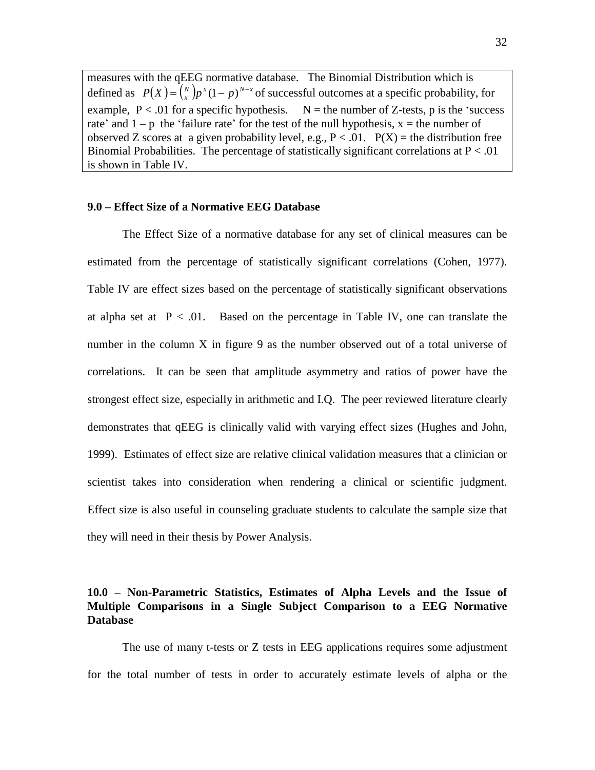measures with the qEEG normative database. The Binomial Distribution which is defined as  $P(X) = {N \choose x} p^x (1-p)^{N-x}$  of successful outcomes at a specific probability, for example,  $P < 0.01$  for a specific hypothesis.  $N =$  the number of Z-tests, p is the 'success' rate' and  $1 - p$  the 'failure rate' for the test of the null hypothesis,  $x =$  the number of observed Z scores at a given probability level, e.g.,  $P < 0.01$ .  $P(X) =$  the distribution free Binomial Probabilities. The percentage of statistically significant correlations at  $P < 0.01$ is shown in Table IV.

#### **9.0 ñ Effect Size of a Normative EEG Database**

The Effect Size of a normative database for any set of clinical measures can be estimated from the percentage of statistically significant correlations (Cohen, 1977). Table IV are effect sizes based on the percentage of statistically significant observations at alpha set at  $P < .01$ . Based on the percentage in Table IV, one can translate the number in the column  $X$  in figure 9 as the number observed out of a total universe of correlations. It can be seen that amplitude asymmetry and ratios of power have the strongest effect size, especially in arithmetic and I.Q. The peer reviewed literature clearly demonstrates that qEEG is clinically valid with varying effect sizes (Hughes and John, 1999). Estimates of effect size are relative clinical validation measures that a clinician or scientist takes into consideration when rendering a clinical or scientific judgment. Effect size is also useful in counseling graduate students to calculate the sample size that they will need in their thesis by Power Analysis.

#### **10.0 ñ Non-Parametric Statistics, Estimates of Alpha Levels and the Issue of Multiple Comparisons in a Single Subject Comparison to a EEG Normative Database**

The use of many t-tests or Z tests in EEG applications requires some adjustment for the total number of tests in order to accurately estimate levels of alpha or the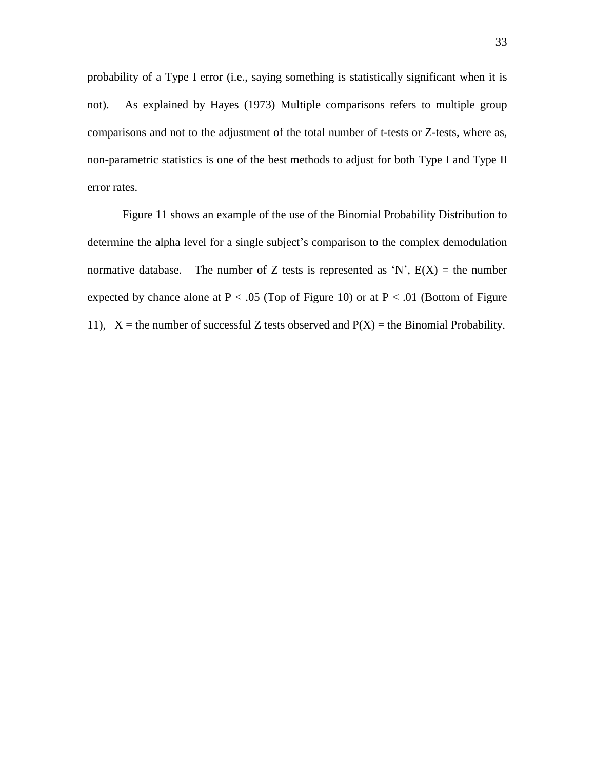probability of a Type I error (i.e., saying something is statistically significant when it is not). As explained by Hayes (1973) Multiple comparisons refers to multiple group comparisons and not to the adjustment of the total number of t-tests or Z-tests, where as, non-parametric statistics is one of the best methods to adjust for both Type I and Type II error rates.

Figure 11 shows an example of the use of the Binomial Probability Distribution to determine the alpha level for a single subject's comparison to the complex demodulation normative database. The number of Z tests is represented as 'N',  $E(X)$  = the number expected by chance alone at  $P < .05$  (Top of Figure 10) or at  $P < .01$  (Bottom of Figure 11),  $X =$  the number of successful Z tests observed and  $P(X) =$  the Binomial Probability.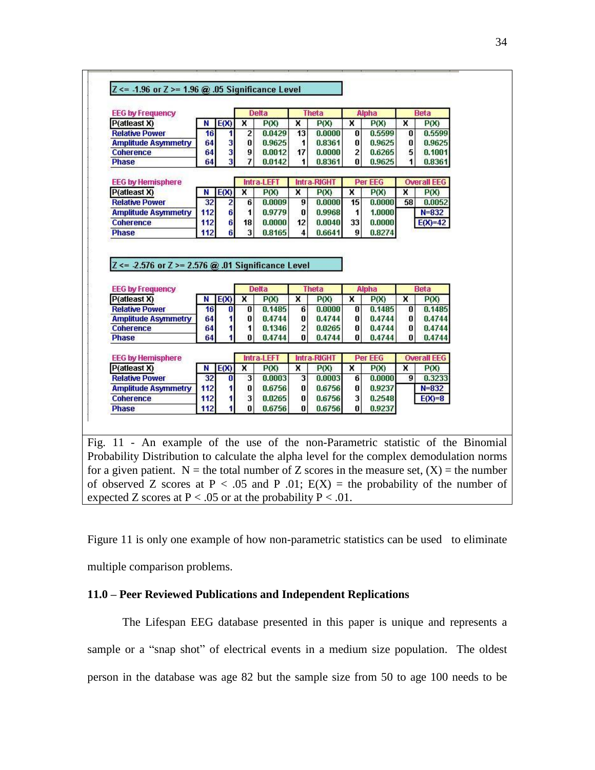| <b>EEG by Frequency</b>                                                                                                                                                                                                                                                                                                                              |     |      |    | <b>Delta</b>           |          | <b>Theta</b>       |                | <b>Alpha</b> |    | <b>Beta</b>        |  |
|------------------------------------------------------------------------------------------------------------------------------------------------------------------------------------------------------------------------------------------------------------------------------------------------------------------------------------------------------|-----|------|----|------------------------|----------|--------------------|----------------|--------------|----|--------------------|--|
| P(atleast X)                                                                                                                                                                                                                                                                                                                                         | N   | E(X) | x  | P(X)                   | ×        | P(X)               | x              | P(X)         | x  | P(X)               |  |
| <b>Relative Power</b>                                                                                                                                                                                                                                                                                                                                | 16  |      | 2  | 0.0429                 | 13       | 0.0000             | 0              | 0.5599       | 0  | 0.5599             |  |
| <b>Amplitude Asymmetry</b>                                                                                                                                                                                                                                                                                                                           | 64  | 3    | 0  | 0.9625                 | 1        | 0.8361             | 0              | 0.9625       | 0  | 0.9625             |  |
| <b>Coherence</b>                                                                                                                                                                                                                                                                                                                                     | 64  | 3    | 9  | 0.0012                 | 17       | 0.0000             | $\overline{2}$ | 0.6265       | 5  | 0.1001             |  |
| <b>Phase</b>                                                                                                                                                                                                                                                                                                                                         | 64  | 3    | 7  | 0.0142                 | 1        | 0.8361             | 0              | 0.9625       | 1  | 0.8361             |  |
| <b>EEG by Hemisphere</b>                                                                                                                                                                                                                                                                                                                             |     |      |    | <b>Intra LEFT</b>      |          | <b>Intra-RIGHT</b> |                | Per EEG      |    | <b>Overall EEG</b> |  |
| P(atleast X)                                                                                                                                                                                                                                                                                                                                         | N   | E(X) | x  | P(X)                   | X        | P(X)               | x              | P(X)         | x  | P(X)               |  |
| <b>Relative Power</b>                                                                                                                                                                                                                                                                                                                                | 32  | 2    | 6  | 0.0009                 | 9        | 0.0000             | 15             | 0.0000       | 58 | 0.0052             |  |
| <b>Amplitude Asymmetry</b>                                                                                                                                                                                                                                                                                                                           | 112 | 6    | 1  | 0.9779                 | 0        | 0.9968             | 1              | 1.0000       |    | $N = 832$          |  |
| <b>Coherence</b>                                                                                                                                                                                                                                                                                                                                     | 112 | 6    | 18 | 0.0000                 | 12       | 0.0040             | 33             | 0.0000       |    | $E(X)=42$          |  |
|                                                                                                                                                                                                                                                                                                                                                      |     |      |    |                        | 4        | 0.6641             | 9              | 0.8274       |    |                    |  |
|                                                                                                                                                                                                                                                                                                                                                      | 112 | 6    | 3  | 0.8165<br><b>Delta</b> |          | <b>Theta</b>       |                | Alpha        |    | <b>Beta</b>        |  |
|                                                                                                                                                                                                                                                                                                                                                      | Ν   | E(X) | x  | P(X)                   | x        | P(X)               | x              | P(X)         | x  | P(X)               |  |
|                                                                                                                                                                                                                                                                                                                                                      | 16  | 0    | 0  | 0.1485                 | 6        | 0.0000             | 0              | 0.1485       | 0  | 0.1485             |  |
|                                                                                                                                                                                                                                                                                                                                                      | 64  | 1    | 0  | 0.4744                 | $\bf{0}$ | 0.4744             | 0              | 0.4744       | 0  | 0.4744             |  |
|                                                                                                                                                                                                                                                                                                                                                      | 64  |      | 1  | 0.1346                 | 2        | 0.0265             | 0              | 0.4744       | 0  | 0.4744             |  |
|                                                                                                                                                                                                                                                                                                                                                      | 64  |      | 0  | 0.4744                 | 0        | 0.4744             | 0              | 0.4744       | 0  | 0.4744             |  |
|                                                                                                                                                                                                                                                                                                                                                      |     |      |    | Intra-LEFT             |          | <b>Intra-RIGHT</b> |                | Per EEG      |    | <b>Overall EEG</b> |  |
|                                                                                                                                                                                                                                                                                                                                                      | N   | E(X) | x  | P(X)                   | x        | P(X)               | ×              | P(X)         | x  | P(X)               |  |
|                                                                                                                                                                                                                                                                                                                                                      | 32  | 0    | 3  | 0.0003                 | 3        | 0.0003             | 6              | 0.0000       | 9  | 0.3233             |  |
|                                                                                                                                                                                                                                                                                                                                                      | 112 | 1    | 0  | 0.6756                 | 0        | 0.6756             | O              | 0.9237       |    | $N = 832$          |  |
|                                                                                                                                                                                                                                                                                                                                                      | 112 |      | 3  | 0.0265                 | 0        | 0.6756             | 3              | 0.2548       |    | $E(X)=8$           |  |
| <b>Phase</b><br>$Z \le 2.576$ or $Z \ge 2.576$ @ .01 Significance Level<br><b>EEG by Frequency</b><br>P(atleast X)<br><b>Relative Power</b><br><b>Amplitude Asymmetry</b><br><b>Coherence</b><br><b>Phase</b><br><b>EEG by Hemisphere</b><br>P(atleast X)<br><b>Relative Power</b><br><b>Amplitude Asymmetry</b><br><b>Coherence</b><br><b>Phase</b> | 112 |      | 0  | 0.6756                 | 0        | 0.6756             | 0              | 0.9237       |    |                    |  |
|                                                                                                                                                                                                                                                                                                                                                      |     |      |    |                        |          |                    |                |              |    |                    |  |
| Fig. 11 - An example of the use of the non-Parametric statistic of the Binomial                                                                                                                                                                                                                                                                      |     |      |    |                        |          |                    |                |              |    |                    |  |

Figure 11 is only one example of how non-parametric statistics can be used to eliminate

multiple comparison problems.

#### **11.0 ñ Peer Reviewed Publications and Independent Replications**

expected Z scores at  $P < .05$  or at the probability  $P < .01$ .

The Lifespan EEG database presented in this paper is unique and represents a sample or a "snap shot" of electrical events in a medium size population. The oldest person in the database was age 82 but the sample size from 50 to age 100 needs to be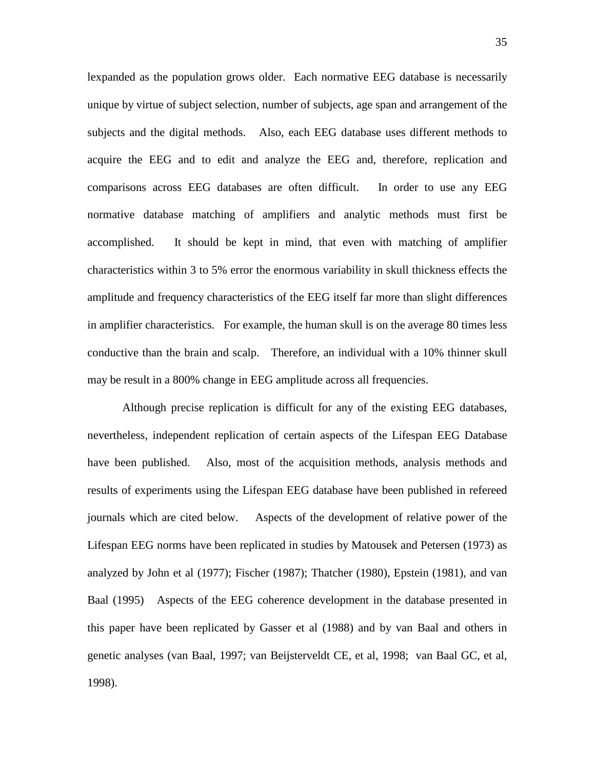lexpanded as the population grows older. Each normative EEG database is necessarily unique by virtue of subject selection, number of subjects, age span and arrangement of the subjects and the digital methods. Also, each EEG database uses different methods to acquire the EEG and to edit and analyze the EEG and, therefore, replication and comparisons across EEG databases are often difficult. In order to use any EEG normative database matching of amplifiers and analytic methods must first be accomplished. It should be kept in mind, that even with matching of amplifier characteristics within 3 to 5% error the enormous variability in skull thickness effects the amplitude and frequency characteristics of the EEG itself far more than slight differences in amplifier characteristics. For example, the human skull is on the average 80 times less conductive than the brain and scalp. Therefore, an individual with a 10% thinner skull may be result in a 800% change in EEG amplitude across all frequencies.

Although precise replication is difficult for any of the existing EEG databases, nevertheless, independent replication of certain aspects of the Lifespan EEG Database have been published. Also, most of the acquisition methods, analysis methods and results of experiments using the Lifespan EEG database have been published in refereed journals which are cited below. Aspects of the development of relative power of the Lifespan EEG norms have been replicated in studies by Matousek and Petersen (1973) as analyzed by John et al (1977); Fischer (1987); Thatcher (1980), Epstein (1981), and van Baal (1995) Aspects of the EEG coherence development in the database presented in this paper have been replicated by Gasser et al (1988) and by van Baal and others in genetic analyses (van Baal, 1997; van Beijsterveldt CE, et al, 1998; van Baal GC, et al, 1998).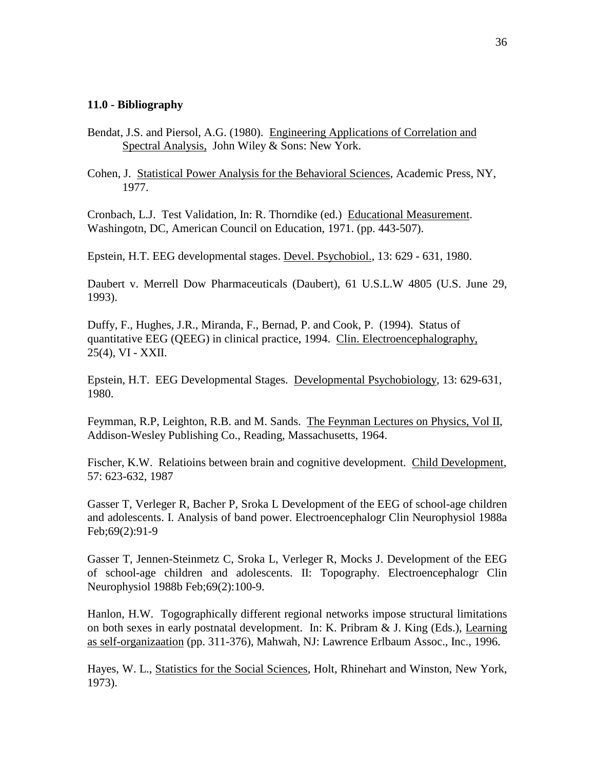#### **11.0 - Bibliography**

- Bendat, J.S. and Piersol, A.G. (1980). Engineering Applications of Correlation and Spectral Analysis, John Wiley & Sons: New York.
- Cohen, J. Statistical Power Analysis for the Behavioral Sciences, Academic Press, NY, 1977.

Cronbach, L.J. Test Validation, In: R. Thorndike (ed.) Educational Measurement. Washingotn, DC, American Council on Education, 1971. (pp. 443-507).

Epstein, H.T. EEG developmental stages. Devel. Psychobiol., 13: 629 - 631, 1980.

Daubert v. Merrell Dow Pharmaceuticals (Daubert), 61 U.S.L.W 4805 (U.S. June 29, 1993).

Duffy, F., Hughes, J.R., Miranda, F., Bernad, P. and Cook, P. (1994). Status of quantitative EEG (QEEG) in clinical practice, 1994. Clin. Electroencephalography, 25(4), VI - XXII.

Epstein, H.T. EEG Developmental Stages. Developmental Psychobiology, 13: 629-631, 1980.

Feymman, R.P, Leighton, R.B. and M. Sands. The Feynman Lectures on Physics, Vol II, Addison-Wesley Publishing Co., Reading, Massachusetts, 1964.

Fischer, K.W. Relatioins between brain and cognitive development. Child Development, 57: 623-632, 1987

Gasser T, Verleger R, Bacher P, Sroka L Development of the EEG of school-age children and adolescents. I. Analysis of band power. Electroencephalogr Clin Neurophysiol 1988a Feb;69(2):91-9

Gasser T, Jennen-Steinmetz C, Sroka L, Verleger R, Mocks J. Development of the EEG of school-age children and adolescents. II: Topography. Electroencephalogr Clin Neurophysiol 1988b Feb;69(2):100-9.

Hanlon, H.W. Togographically different regional networks impose structural limitations on both sexes in early postnatal development. In: K. Pribram & J. King (Eds.), Learning as self-organizaation (pp.311-376), Mahwah, NJ: Lawrence Erlbaum Assoc., Inc., 1996.

Hayes, W. L., Statistics for the Social Sciences, Holt, Rhinehart and Winston, New York, 1973).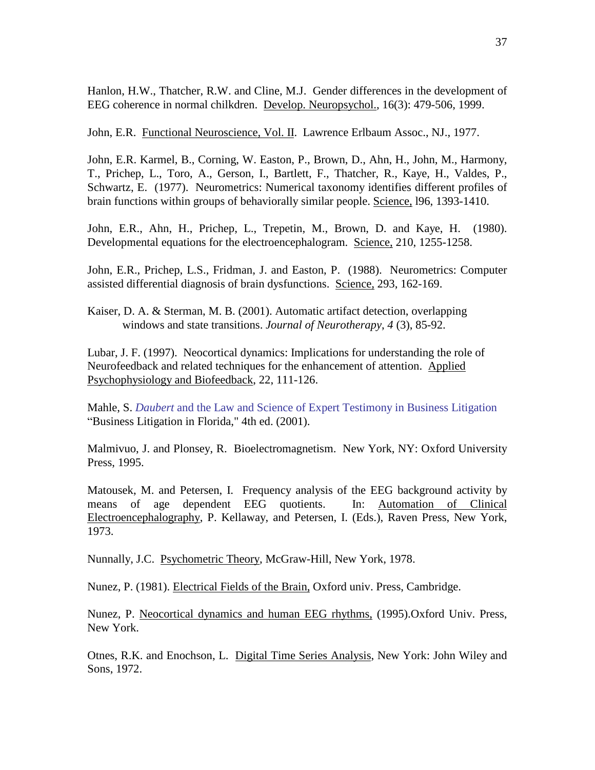Hanlon, H.W., Thatcher, R.W. and Cline, M.J. Gender differences in the development of EEG coherence in normal chilkdren. Develop. Neuropsychol., 16(3): 479-506, 1999.

John, E.R. Functional Neuroscience, Vol. II. Lawrence Erlbaum Assoc., NJ., 1977.

John, E.R. Karmel, B., Corning, W. Easton, P., Brown, D., Ahn, H., John, M., Harmony, T., Prichep, L., Toro, A., Gerson, I., Bartlett, F., Thatcher, R., Kaye, H., Valdes, P., Schwartz, E. (1977). Neurometrics: Numerical taxonomy identifies different profiles of brain functions within groups of behaviorally similar people. Science, 196, 1393-1410.

John, E.R., Ahn, H., Prichep, L., Trepetin, M., Brown, D. and Kaye, H. (1980). Developmental equations for the electroencephalogram. Science, 210, 1255-1258.

John, E.R., Prichep, L.S., Fridman, J. and Easton, P. (1988). Neurometrics: Computer assisted differential diagnosis of brain dysfunctions. Science, 293, 162-169.

Kaiser, D. A. & Sterman, M. B. (2001). Automatic artifact detection, overlapping windows and state transitions. *Journal of Neurotherapy*, *4* (3), 85-92.

Lubar, J. F. (1997). Neocortical dynamics: Implications for understanding the role of Neurofeedback and related techniques for the enhancement of attention. Applied Psychophysiology and Biofeedback, 22, 111-126.

Mahle, S. *Daubert* and the Law and Science of Expert Testimony in Business Litigation "Business Litigation in Florida," 4th ed. (2001).

Malmivuo, J. and Plonsey, R. Bioelectromagnetism. New York, NY: Oxford University Press, 1995.

Matousek, M. and Petersen, I. Frequency analysis of the EEG background activity by means of age dependent EEG quotients. In: Automation of Clinical Electroencephalography, P. Kellaway, and Petersen, I. (Eds.), Raven Press, New York, 1973.

Nunnally, J.C. Psychometric Theory, McGraw-Hill, New York, 1978.

Nunez, P. (1981). Electrical Fields of the Brain, Oxford univ. Press, Cambridge.

Nunez, P. Neocortical dynamics and human EEG rhythms, (1995).Oxford Univ. Press, New York.

Otnes, R.K. and Enochson, L. Digital Time Series Analysis, New York: John Wiley and Sons, 1972.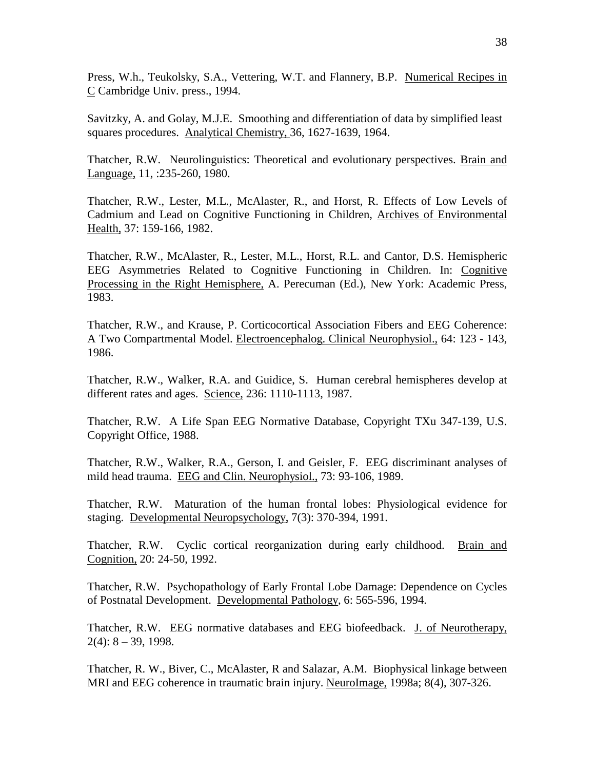Press, W.h., Teukolsky, S.A., Vettering, W.T. and Flannery, B.P. Numerical Recipes in C Cambridge Univ. press., 1994.

Savitzky, A. and Golay, M.J.E. Smoothing and differentiation of data by simplified least squares procedures. Analytical Chemistry, 36, 1627-1639, 1964.

Thatcher, R.W. Neurolinguistics: Theoretical and evolutionary perspectives. Brain and Language, 11, :235-260, 1980.

Thatcher, R.W., Lester, M.L., McAlaster, R., and Horst, R. Effects of Low Levels of Cadmium and Lead on Cognitive Functioning in Children, Archives of Environmental Health, 37: 159-166, 1982.

Thatcher, R.W., McAlaster, R., Lester, M.L., Horst, R.L. and Cantor, D.S. Hemispheric EEG Asymmetries Related to Cognitive Functioning in Children. In: Cognitive Processing in the Right Hemisphere, A. Perecuman (Ed.), New York: Academic Press, 1983.

Thatcher, R.W., and Krause, P. Corticocortical Association Fibers and EEG Coherence: A Two Compartmental Model. Electroencephalog. Clinical Neurophysiol., 64: 123 - 143, 1986.

Thatcher, R.W., Walker, R.A. and Guidice, S. Human cerebral hemispheres develop at different rates and ages. Science, 236: 1110-1113, 1987.

Thatcher, R.W. A Life Span EEG Normative Database, Copyright TXu 347-139, U.S. Copyright Office, 1988.

Thatcher, R.W., Walker, R.A., Gerson, I. and Geisler, F. EEG discriminant analyses of mild head trauma. EEG and Clin. Neurophysiol., 73: 93-106, 1989.

Thatcher, R.W. Maturation of the human frontal lobes: Physiological evidence for staging. Developmental Neuropsychology, 7(3): 370-394, 1991.

Thatcher, R.W. Cyclic cortical reorganization during early childhood. Brain and Cognition, 20: 24-50, 1992.

Thatcher, R.W. Psychopathology of Early Frontal Lobe Damage: Dependence on Cycles of Postnatal Development. Developmental Pathology, 6: 565-596, 1994.

Thatcher, R.W. EEG normative databases and EEG biofeedback. J. of Neurotherapy,  $2(4): 8 - 39, 1998.$ 

Thatcher, R. W., Biver, C., McAlaster, R and Salazar, A.M. Biophysical linkage between MRI and EEG coherence in traumatic brain injury. NeuroImage, 1998a; 8(4), 307-326.